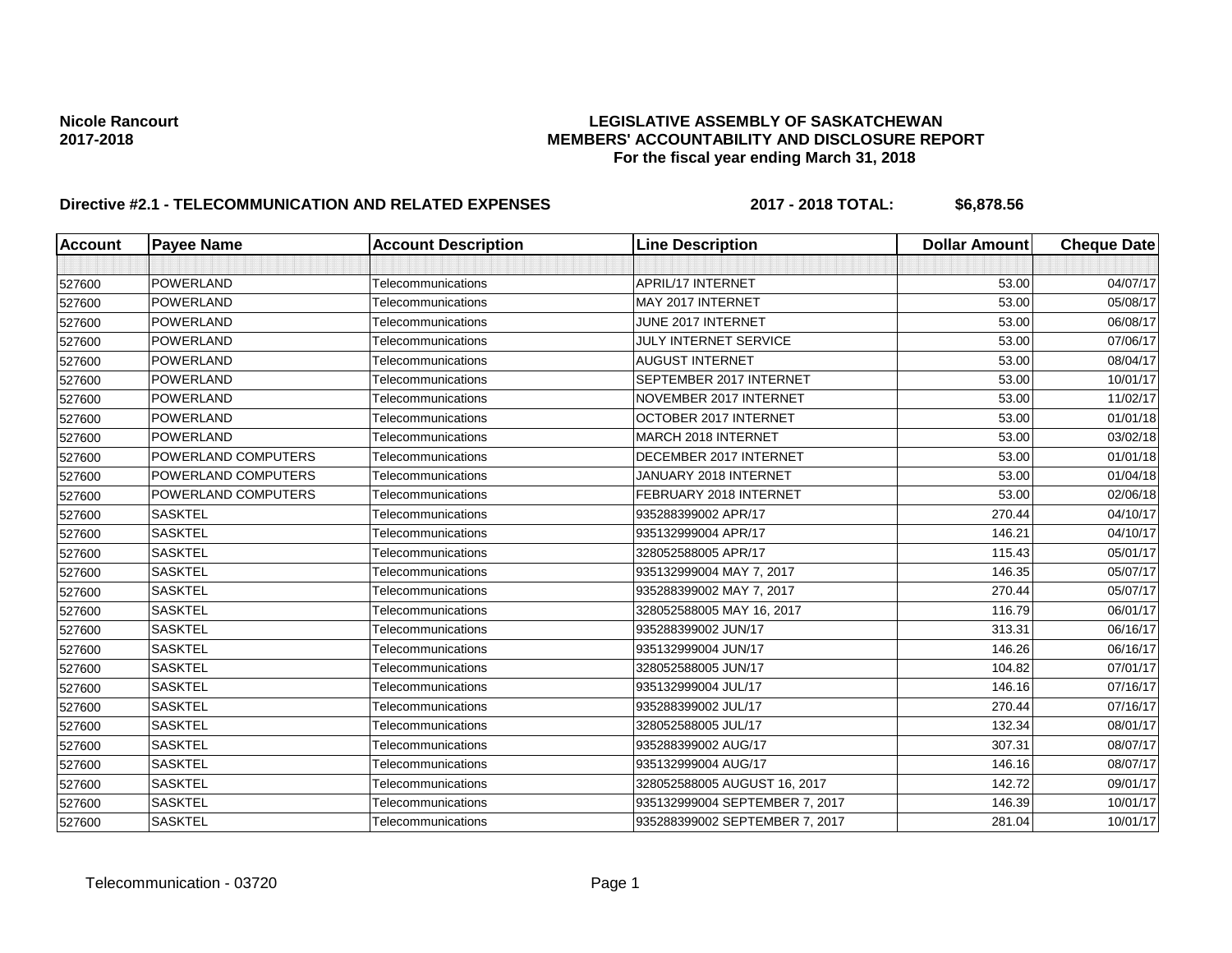## Nicole Rancourt<br>**LEGISLATIVE ASSEMBLY OF SASKATCHEWAN**<br>MEMBERS' ACCOUNTABILITY AND DISCLOSURE REF **2017-2018 MEMBERS' ACCOUNTABILITY AND DISCLOSURE REPORT For the fiscal year ending March 31, 2018**

# **Directive #2.1 - TELECOMMUNICATION AND RELATED EXPENSES** 2017 - 2018 TOTAL: \$6,878.56

| <b>Account</b> | <b>Payee Name</b>   | <b>Account Description</b> | <b>Line Description</b>        | <b>Dollar Amount</b> | <b>Cheque Date</b> |
|----------------|---------------------|----------------------------|--------------------------------|----------------------|--------------------|
|                |                     |                            |                                |                      |                    |
| 527600         | POWERLAND           | Telecommunications         | APRIL/17 INTERNET              | 53.00                | 04/07/17           |
| 527600         | POWERLAND           | Telecommunications         | MAY 2017 INTERNET              | 53.00                | 05/08/17           |
| 527600         | POWERLAND           | Telecommunications         | JUNE 2017 INTERNET             | 53.00                | 06/08/17           |
| 527600         | POWERLAND           | Telecommunications         | JULY INTERNET SERVICE          | 53.00                | 07/06/17           |
| 527600         | POWERLAND           | Telecommunications         | <b>AUGUST INTERNET</b>         | 53.00                | 08/04/17           |
| 527600         | <b>POWERLAND</b>    | Telecommunications         | SEPTEMBER 2017 INTERNET        | 53.00                | 10/01/17           |
| 527600         | POWERLAND           | Telecommunications         | NOVEMBER 2017 INTERNET         | 53.00                | 11/02/17           |
| 527600         | <b>POWERLAND</b>    | Telecommunications         | OCTOBER 2017 INTERNET          | 53.00                | 01/01/18           |
| 527600         | POWERLAND           | Telecommunications         | MARCH 2018 INTERNET            | 53.00                | 03/02/18           |
| 527600         | POWERLAND COMPUTERS | Telecommunications         | DECEMBER 2017 INTERNET         | 53.00                | 01/01/18           |
| 527600         | POWERLAND COMPUTERS | Telecommunications         | JANUARY 2018 INTERNET          | 53.00                | 01/04/18           |
| 527600         | POWERLAND COMPUTERS | Telecommunications         | FEBRUARY 2018 INTERNET         | 53.00                | 02/06/18           |
| 527600         | <b>SASKTEL</b>      | Telecommunications         | 935288399002 APR/17            | 270.44               | 04/10/17           |
| 527600         | <b>SASKTEL</b>      | Telecommunications         | 935132999004 APR/17            | 146.21               | 04/10/17           |
| 527600         | <b>SASKTEL</b>      | Telecommunications         | 328052588005 APR/17            | 115.43               | 05/01/17           |
| 527600         | <b>SASKTEL</b>      | Telecommunications         | 935132999004 MAY 7, 2017       | 146.35               | 05/07/17           |
| 527600         | <b>SASKTEL</b>      | Telecommunications         | 935288399002 MAY 7, 2017       | 270.44               | 05/07/17           |
| 527600         | <b>SASKTEL</b>      | Telecommunications         | 328052588005 MAY 16, 2017      | 116.79               | 06/01/17           |
| 527600         | <b>SASKTEL</b>      | Telecommunications         | 935288399002 JUN/17            | 313.31               | 06/16/17           |
| 527600         | <b>SASKTEL</b>      | Telecommunications         | 935132999004 JUN/17            | 146.26               | 06/16/17           |
| 527600         | <b>SASKTEL</b>      | Telecommunications         | 328052588005 JUN/17            | 104.82               | 07/01/17           |
| 527600         | <b>SASKTEL</b>      | Telecommunications         | 935132999004 JUL/17            | 146.16               | 07/16/17           |
| 527600         | <b>SASKTEL</b>      | Telecommunications         | 935288399002 JUL/17            | 270.44               | 07/16/17           |
| 527600         | <b>SASKTEL</b>      | Telecommunications         | 328052588005 JUL/17            | 132.34               | 08/01/17           |
| 527600         | <b>SASKTEL</b>      | Telecommunications         | 935288399002 AUG/17            | 307.31               | 08/07/17           |
| 527600         | <b>SASKTEL</b>      | Telecommunications         | 935132999004 AUG/17            | 146.16               | 08/07/17           |
| 527600         | <b>SASKTEL</b>      | Telecommunications         | 328052588005 AUGUST 16, 2017   | 142.72               | 09/01/17           |
| 527600         | <b>SASKTEL</b>      | Telecommunications         | 935132999004 SEPTEMBER 7, 2017 | 146.39               | 10/01/17           |
| 527600         | <b>SASKTEL</b>      | Telecommunications         | 935288399002 SEPTEMBER 7, 2017 | 281.04               | 10/01/17           |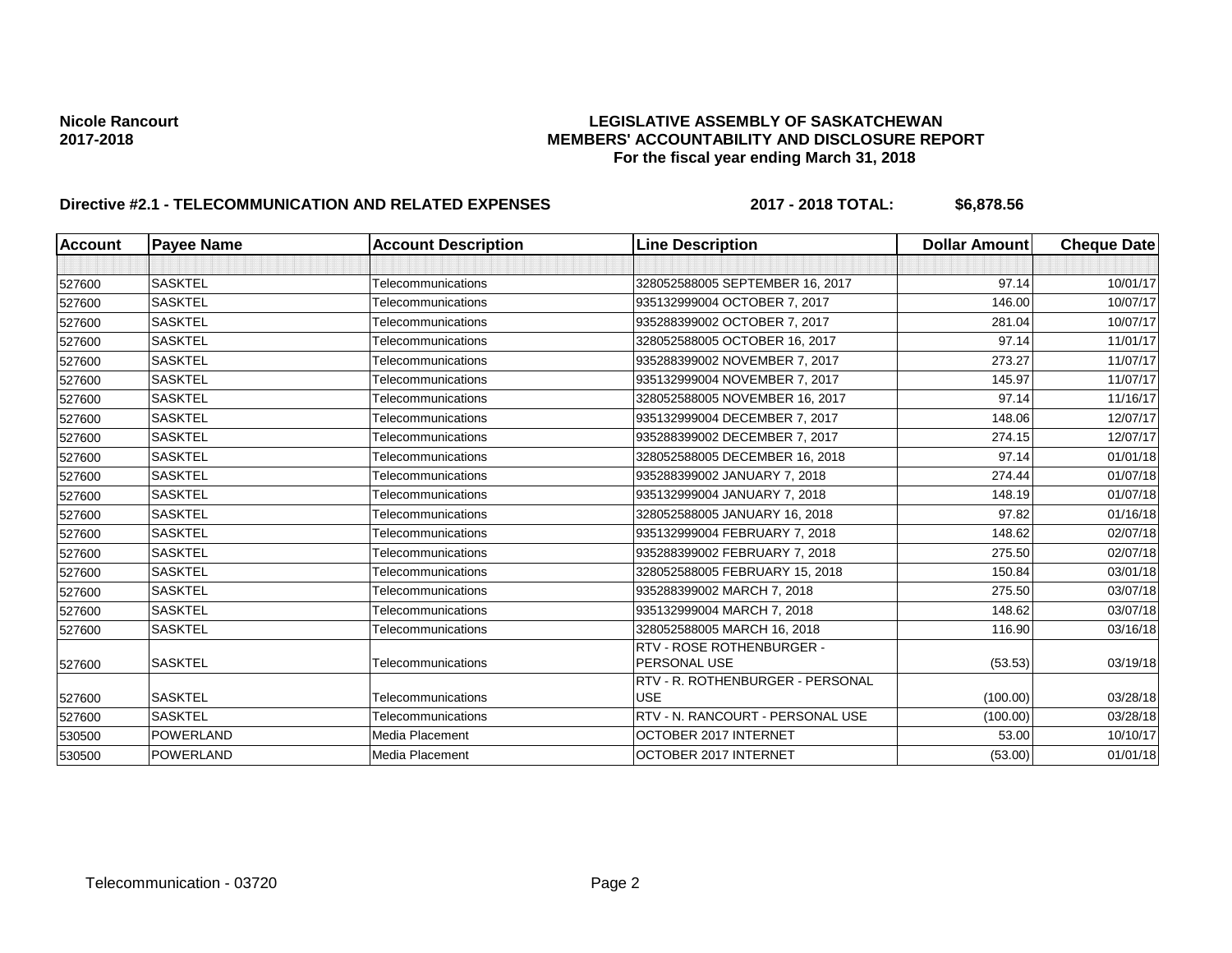## Nicole Rancourt<br>**LEGISLATIVE ASSEMBLY OF SASKATCHEWAN**<br>MEMBERS' ACCOUNTABILITY AND DISCLOSURE REF **2017-2018 MEMBERS' ACCOUNTABILITY AND DISCLOSURE REPORT For the fiscal year ending March 31, 2018**

# **Directive #2.1 - TELECOMMUNICATION AND RELATED EXPENSES** 2017 - 2018 TOTAL: \$6,878.56

| <b>Account</b> | <b>Payee Name</b> | <b>Account Description</b> | <b>Line Description</b>                   | <b>Dollar Amount</b> | <b>Cheque Date</b> |
|----------------|-------------------|----------------------------|-------------------------------------------|----------------------|--------------------|
|                |                   |                            |                                           |                      |                    |
| 527600         | <b>SASKTEL</b>    | Telecommunications         | 328052588005 SEPTEMBER 16, 2017           | 97.14                | 10/01/17           |
| 527600         | <b>SASKTEL</b>    | Telecommunications         | 935132999004 OCTOBER 7, 2017              | 146.00               | 10/07/17           |
| 527600         | <b>SASKTEL</b>    | Telecommunications         | 935288399002 OCTOBER 7, 2017              | 281.04               | 10/07/17           |
| 527600         | <b>SASKTEL</b>    | Telecommunications         | 328052588005 OCTOBER 16, 2017             | 97.14                | 11/01/17           |
| 527600         | <b>SASKTEL</b>    | Telecommunications         | 935288399002 NOVEMBER 7, 2017             | 273.27               | 11/07/17           |
| 527600         | <b>SASKTEL</b>    | Telecommunications         | 935132999004 NOVEMBER 7, 2017             | 145.97               | 11/07/17           |
| 527600         | <b>SASKTEL</b>    | Telecommunications         | 328052588005 NOVEMBER 16, 2017            | 97.14                | 11/16/17           |
| 527600         | <b>SASKTEL</b>    | Telecommunications         | 935132999004 DECEMBER 7, 2017             | 148.06               | 12/07/17           |
| 527600         | <b>SASKTEL</b>    | Telecommunications         | 935288399002 DECEMBER 7, 2017             | 274.15               | 12/07/17           |
| 527600         | <b>SASKTEL</b>    | Telecommunications         | 328052588005 DECEMBER 16, 2018            | 97.14                | 01/01/18           |
| 527600         | <b>SASKTEL</b>    | Telecommunications         | 935288399002 JANUARY 7, 2018              | 274.44               | 01/07/18           |
| 527600         | <b>SASKTEL</b>    | Telecommunications         | 935132999004 JANUARY 7, 2018              | 148.19               | 01/07/18           |
| 527600         | <b>SASKTEL</b>    | Telecommunications         | 328052588005 JANUARY 16, 2018             | 97.82                | 01/16/18           |
| 527600         | <b>SASKTEL</b>    | Telecommunications         | 935132999004 FEBRUARY 7, 2018             | 148.62               | 02/07/18           |
| 527600         | <b>SASKTEL</b>    | Telecommunications         | 935288399002 FEBRUARY 7, 2018             | 275.50               | 02/07/18           |
| 527600         | <b>SASKTEL</b>    | Telecommunications         | 328052588005 FEBRUARY 15, 2018            | 150.84               | 03/01/18           |
| 527600         | <b>SASKTEL</b>    | Telecommunications         | 935288399002 MARCH 7, 2018                | 275.50               | 03/07/18           |
| 527600         | <b>SASKTEL</b>    | Telecommunications         | 935132999004 MARCH 7, 2018                | 148.62               | 03/07/18           |
| 527600         | <b>SASKTEL</b>    | Telecommunications         | 328052588005 MARCH 16, 2018               | 116.90               | 03/16/18           |
| 527600         | <b>SASKTEL</b>    | Telecommunications         | RTV - ROSE ROTHENBURGER -<br>PERSONAL USE | (53.53)              | 03/19/18           |
|                |                   |                            | RTV - R. ROTHENBURGER - PERSONAL          |                      |                    |
| 527600         | <b>SASKTEL</b>    | Telecommunications         | <b>USE</b>                                | (100.00)             | 03/28/18           |
| 527600         | <b>SASKTEL</b>    | Telecommunications         | RTV - N. RANCOURT - PERSONAL USE          | (100.00)             | 03/28/18           |
| 530500         | <b>POWERLAND</b>  | Media Placement            | OCTOBER 2017 INTERNET                     | 53.00                | 10/10/17           |
| 530500         | <b>POWERLAND</b>  | Media Placement            | OCTOBER 2017 INTERNET                     | (53.00)              | 01/01/18           |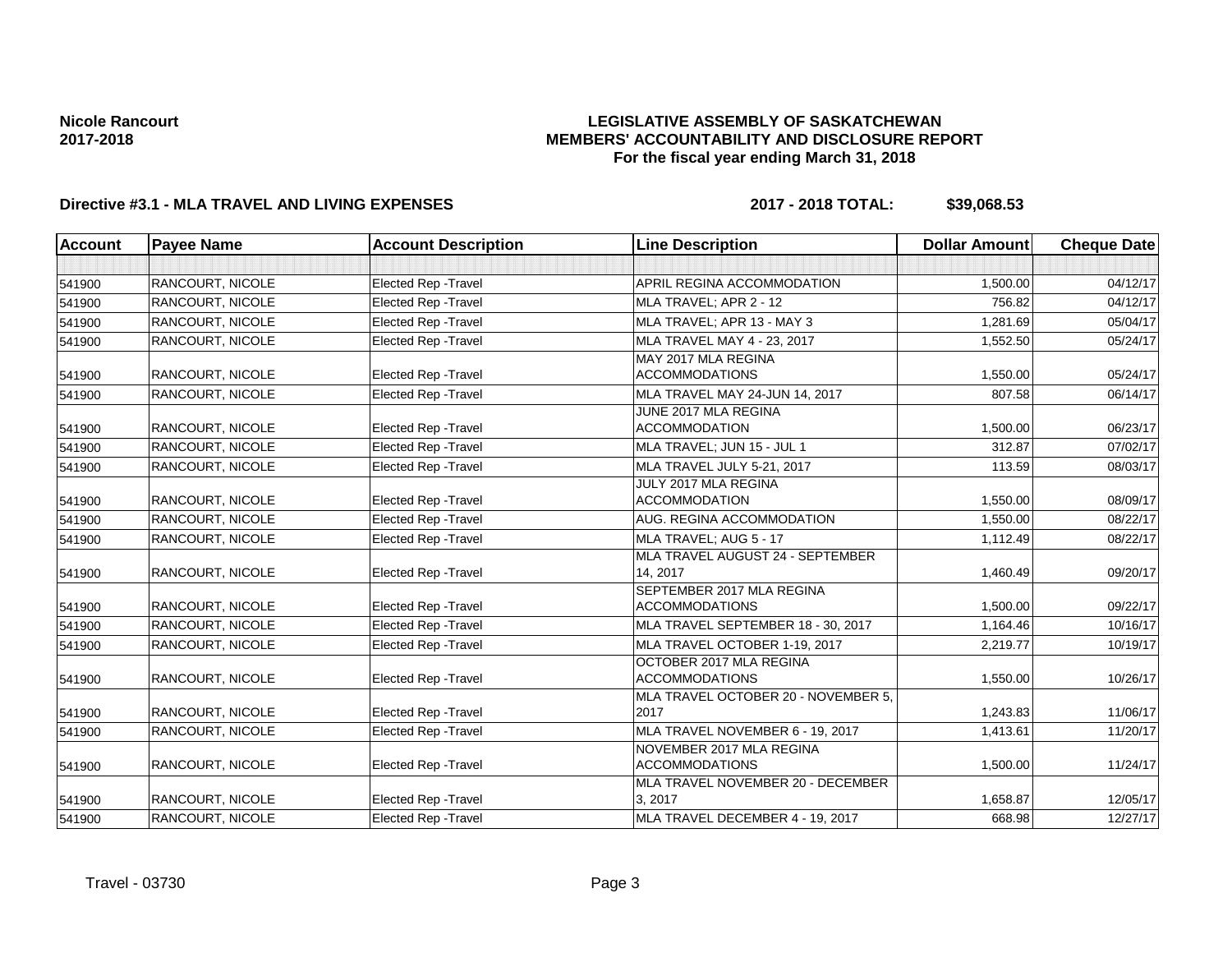## **LEGISLATIVE ASSEMBLY OF SASKATCHEWAN MEMBERS' ACCOUNTABILITY AND DISCLOSURE REPORT For the fiscal year ending March 31, 2018**

# **Directive #3.1 - MLA TRAVEL AND LIVING EXPENSES 2017 - 2018 TOTAL: \$39,068.53**

| <b>Account</b> | <b>Payee Name</b>       | <b>Account Description</b>  | <b>Line Description</b>                            | <b>Dollar Amount</b> | <b>Cheque Date</b> |
|----------------|-------------------------|-----------------------------|----------------------------------------------------|----------------------|--------------------|
|                |                         |                             |                                                    |                      |                    |
| 541900         | <b>RANCOURT, NICOLE</b> | <b>Elected Rep - Travel</b> | APRIL REGINA ACCOMMODATION                         | 1.500.00             | 04/12/17           |
| 541900         | <b>RANCOURT, NICOLE</b> | <b>Elected Rep - Travel</b> | MLA TRAVEL; APR 2 - 12                             | 756.82               | 04/12/17           |
| 541900         | <b>RANCOURT, NICOLE</b> | Elected Rep - Travel        | MLA TRAVEL; APR 13 - MAY 3                         | 1,281.69             | 05/04/17           |
| 541900         | <b>RANCOURT, NICOLE</b> | <b>Elected Rep - Travel</b> | MLA TRAVEL MAY 4 - 23, 2017                        | 1,552.50             | 05/24/17           |
| 541900         | <b>RANCOURT, NICOLE</b> | <b>Elected Rep - Travel</b> | MAY 2017 MLA REGINA<br><b>ACCOMMODATIONS</b>       | 1,550.00             | 05/24/17           |
| 541900         | <b>RANCOURT, NICOLE</b> | <b>Elected Rep - Travel</b> | MLA TRAVEL MAY 24-JUN 14, 2017                     | 807.58               | 06/14/17           |
| 541900         | <b>RANCOURT, NICOLE</b> | <b>Elected Rep - Travel</b> | JUNE 2017 MLA REGINA<br><b>ACCOMMODATION</b>       | 1,500.00             | 06/23/17           |
| 541900         | <b>RANCOURT, NICOLE</b> | Elected Rep - Travel        | MLA TRAVEL; JUN 15 - JUL 1                         | 312.87               | 07/02/17           |
| 541900         | <b>RANCOURT, NICOLE</b> | <b>Elected Rep - Travel</b> | MLA TRAVEL JULY 5-21, 2017                         | 113.59               | 08/03/17           |
| 541900         | <b>RANCOURT, NICOLE</b> | <b>Elected Rep - Travel</b> | JULY 2017 MLA REGINA<br><b>ACCOMMODATION</b>       | 1,550.00             | 08/09/17           |
| 541900         | <b>RANCOURT, NICOLE</b> | <b>Elected Rep - Travel</b> | AUG. REGINA ACCOMMODATION                          | 1,550.00             | 08/22/17           |
| 541900         | <b>RANCOURT, NICOLE</b> | <b>Elected Rep - Travel</b> | MLA TRAVEL: AUG 5 - 17                             | 1,112.49             | 08/22/17           |
| 541900         | <b>RANCOURT, NICOLE</b> | <b>Elected Rep - Travel</b> | MLA TRAVEL AUGUST 24 - SEPTEMBER<br>14, 2017       | 1,460.49             | 09/20/17           |
| 541900         | <b>RANCOURT. NICOLE</b> | <b>Elected Rep - Travel</b> | SEPTEMBER 2017 MLA REGINA<br><b>ACCOMMODATIONS</b> | 1.500.00             | 09/22/17           |
| 541900         | <b>RANCOURT, NICOLE</b> | <b>Elected Rep - Travel</b> | MLA TRAVEL SEPTEMBER 18 - 30, 2017                 | 1,164.46             | 10/16/17           |
| 541900         | <b>RANCOURT. NICOLE</b> | <b>Elected Rep - Travel</b> | MLA TRAVEL OCTOBER 1-19, 2017                      | 2.219.77             | 10/19/17           |
| 541900         | RANCOURT, NICOLE        | <b>Elected Rep - Travel</b> | OCTOBER 2017 MLA REGINA<br><b>ACCOMMODATIONS</b>   | 1,550.00             | 10/26/17           |
| 541900         | <b>RANCOURT, NICOLE</b> | <b>Elected Rep - Travel</b> | MLA TRAVEL OCTOBER 20 - NOVEMBER 5,<br>2017        | 1,243.83             | 11/06/17           |
| 541900         | <b>RANCOURT, NICOLE</b> | <b>Elected Rep - Travel</b> | MLA TRAVEL NOVEMBER 6 - 19, 2017                   | 1,413.61             | 11/20/17           |
| 541900         | <b>RANCOURT, NICOLE</b> | Elected Rep - Travel        | NOVEMBER 2017 MLA REGINA<br><b>ACCOMMODATIONS</b>  | 1,500.00             | 11/24/17           |
| 541900         | <b>RANCOURT. NICOLE</b> | <b>Elected Rep - Travel</b> | MLA TRAVEL NOVEMBER 20 - DECEMBER<br>3, 2017       | 1.658.87             | 12/05/17           |
| 541900         | RANCOURT, NICOLE        | <b>Elected Rep - Travel</b> | MLA TRAVEL DECEMBER 4 - 19, 2017                   | 668.98               | 12/27/17           |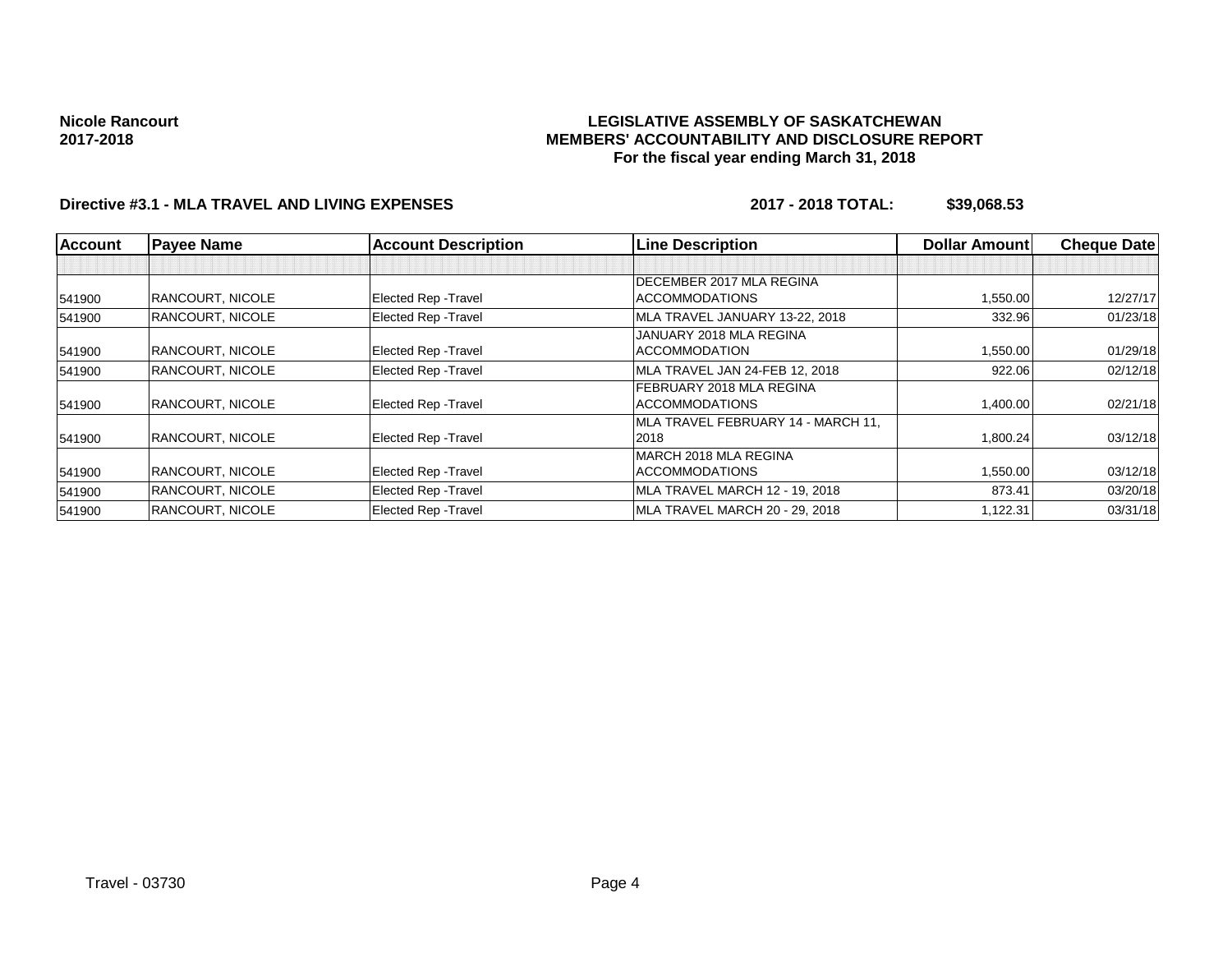## **LEGISLATIVE ASSEMBLY OF SASKATCHEWAN MEMBERS' ACCOUNTABILITY AND DISCLOSURE REPORT For the fiscal year ending March 31, 2018**

# **Directive #3.1 - MLA TRAVEL AND LIVING EXPENSES 2017 - 2018 TOTAL: \$39,068.53**

| Account | <b>Payee Name</b>       | <b>Account Description</b>  | <b>Line Description</b>            | <b>Dollar Amount</b> | <b>Cheque Date</b> |
|---------|-------------------------|-----------------------------|------------------------------------|----------------------|--------------------|
|         |                         |                             |                                    |                      |                    |
|         |                         |                             | DECEMBER 2017 MLA REGINA           |                      |                    |
| 541900  | <b>RANCOURT, NICOLE</b> | <b>Elected Rep - Travel</b> | <b>ACCOMMODATIONS</b>              | 1,550.00             | 12/27/17           |
| 541900  | <b>RANCOURT, NICOLE</b> | <b>Elected Rep - Travel</b> | MLA TRAVEL JANUARY 13-22, 2018     | 332.96               | 01/23/18           |
|         |                         |                             | JANUARY 2018 MLA REGINA            |                      |                    |
| 541900  | <b>RANCOURT, NICOLE</b> | Elected Rep - Travel        | <b>ACCOMMODATION</b>               | 1,550.00             | 01/29/18           |
| 541900  | <b>RANCOURT, NICOLE</b> | <b>Elected Rep - Travel</b> | MLA TRAVEL JAN 24-FEB 12, 2018     | 922.06               | 02/12/18           |
|         |                         |                             | FEBRUARY 2018 MLA REGINA           |                      |                    |
| 541900  | <b>RANCOURT, NICOLE</b> | <b>Elected Rep - Travel</b> | <b>ACCOMMODATIONS</b>              | 1,400.00             | 02/21/18           |
|         |                         |                             | MLA TRAVEL FEBRUARY 14 - MARCH 11. |                      |                    |
| 541900  | <b>RANCOURT, NICOLE</b> | Elected Rep - Travel        | 2018                               | 1,800.24             | 03/12/18           |
|         |                         |                             | MARCH 2018 MLA REGINA              |                      |                    |
| 541900  | <b>RANCOURT, NICOLE</b> | Elected Rep - Travel        | <b>ACCOMMODATIONS</b>              | 1,550.00             | 03/12/18           |
| 541900  | <b>RANCOURT, NICOLE</b> | <b>Elected Rep - Travel</b> | MLA TRAVEL MARCH 12 - 19, 2018     | 873.41               | 03/20/18           |
| 541900  | <b>RANCOURT, NICOLE</b> | <b>Elected Rep - Travel</b> | MLA TRAVEL MARCH 20 - 29, 2018     | 1,122.31             | 03/31/18           |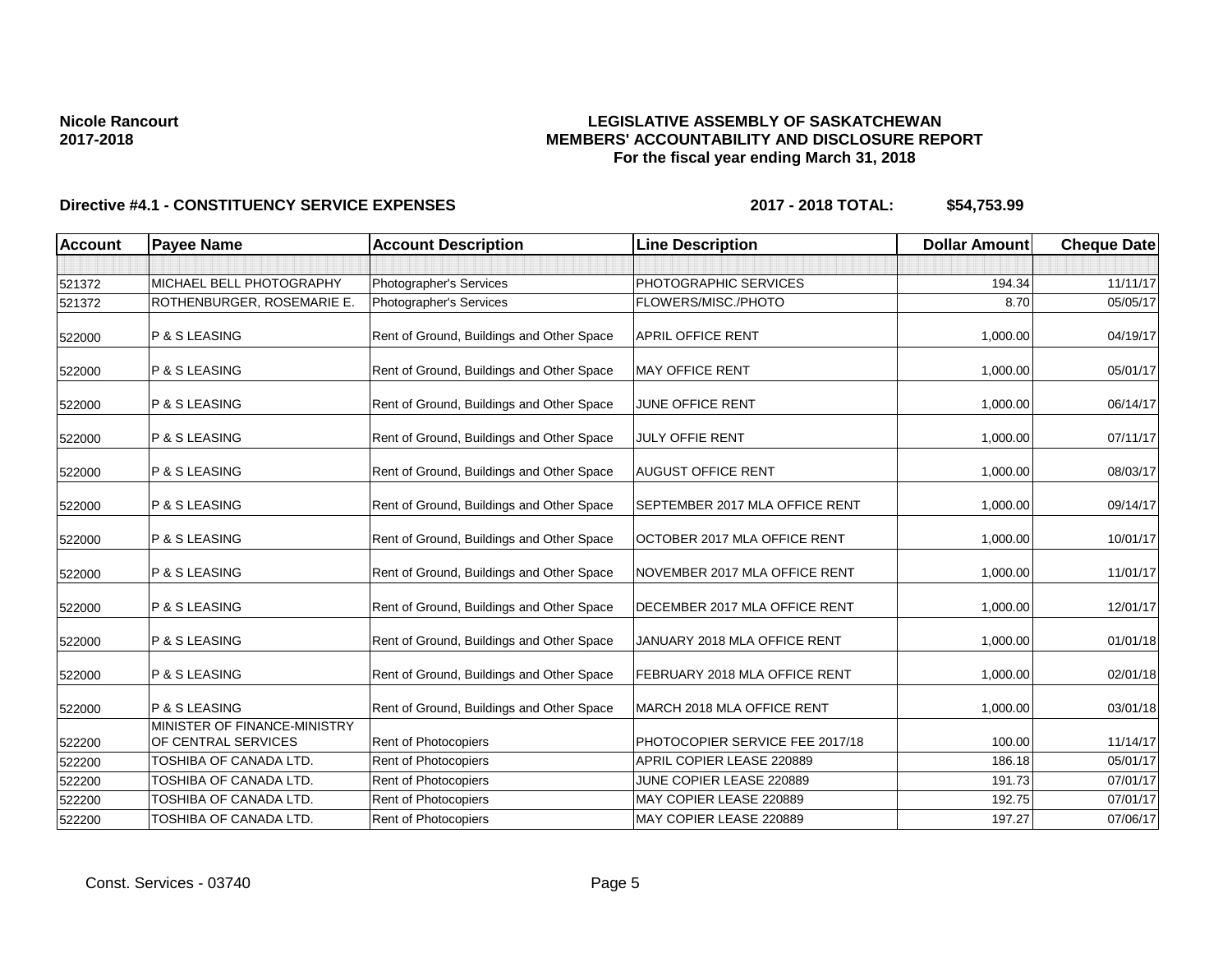## **LEGISLATIVE ASSEMBLY OF SASKATCHEWAN MEMBERS' ACCOUNTABILITY AND DISCLOSURE REPORT For the fiscal year ending March 31, 2018**

| <b>Account</b> | <b>Payee Name</b>                                   | <b>Account Description</b>                | <b>Line Description</b>         | <b>Dollar Amount</b> | <b>Cheque Date</b> |
|----------------|-----------------------------------------------------|-------------------------------------------|---------------------------------|----------------------|--------------------|
|                |                                                     |                                           |                                 |                      |                    |
| 521372         | MICHAEL BELL PHOTOGRAPHY                            | Photographer's Services                   | PHOTOGRAPHIC SERVICES           | 194.34               | 11/11/17           |
| 521372         | ROTHENBURGER, ROSEMARIE E.                          | Photographer's Services                   | FLOWERS/MISC./PHOTO             | 8.70                 | 05/05/17           |
| 522000         | P & S LEASING                                       | Rent of Ground, Buildings and Other Space | <b>APRIL OFFICE RENT</b>        | 1,000.00             | 04/19/17           |
| 522000         | P & S LEASING                                       | Rent of Ground, Buildings and Other Space | <b>MAY OFFICE RENT</b>          | 1,000.00             | 05/01/17           |
| 522000         | P & S LEASING                                       | Rent of Ground, Buildings and Other Space | JUNE OFFICE RENT                | 1,000.00             | 06/14/17           |
| 522000         | P & S LEASING                                       | Rent of Ground, Buildings and Other Space | <b>JULY OFFIE RENT</b>          | 1,000.00             | 07/11/17           |
| 522000         | P & S LEASING                                       | Rent of Ground, Buildings and Other Space | <b>AUGUST OFFICE RENT</b>       | 1,000.00             | 08/03/17           |
| 522000         | P & S LEASING                                       | Rent of Ground, Buildings and Other Space | SEPTEMBER 2017 MLA OFFICE RENT  | 1,000.00             | 09/14/17           |
| 522000         | P & S LEASING                                       | Rent of Ground, Buildings and Other Space | OCTOBER 2017 MLA OFFICE RENT    | 1,000.00             | 10/01/17           |
| 522000         | P & S LEASING                                       | Rent of Ground, Buildings and Other Space | NOVEMBER 2017 MLA OFFICE RENT   | 1.000.00             | 11/01/17           |
| 522000         | P & S LEASING                                       | Rent of Ground, Buildings and Other Space | DECEMBER 2017 MLA OFFICE RENT   | 1,000.00             | 12/01/17           |
| 522000         | P & S LEASING                                       | Rent of Ground, Buildings and Other Space | JANUARY 2018 MLA OFFICE RENT    | 1,000.00             | 01/01/18           |
| 522000         | P & S LEASING                                       | Rent of Ground, Buildings and Other Space | FEBRUARY 2018 MLA OFFICE RENT   | 1,000.00             | 02/01/18           |
| 522000         | P & S LEASING                                       | Rent of Ground, Buildings and Other Space | MARCH 2018 MLA OFFICE RENT      | 1,000.00             | 03/01/18           |
| 522200         | MINISTER OF FINANCE-MINISTRY<br>OF CENTRAL SERVICES | Rent of Photocopiers                      | PHOTOCOPIER SERVICE FEE 2017/18 | 100.00               | 11/14/17           |
| 522200         | TOSHIBA OF CANADA LTD.                              | <b>Rent of Photocopiers</b>               | APRIL COPIER LEASE 220889       | 186.18               | 05/01/17           |
| 522200         | TOSHIBA OF CANADA LTD.                              | Rent of Photocopiers                      | JUNE COPIER LEASE 220889        | 191.73               | 07/01/17           |
| 522200         | TOSHIBA OF CANADA LTD.                              | Rent of Photocopiers                      | MAY COPIER LEASE 220889         | 192.75               | 07/01/17           |
| 522200         | TOSHIBA OF CANADA LTD.                              | Rent of Photocopiers                      | MAY COPIER LEASE 220889         | 197.27               | 07/06/17           |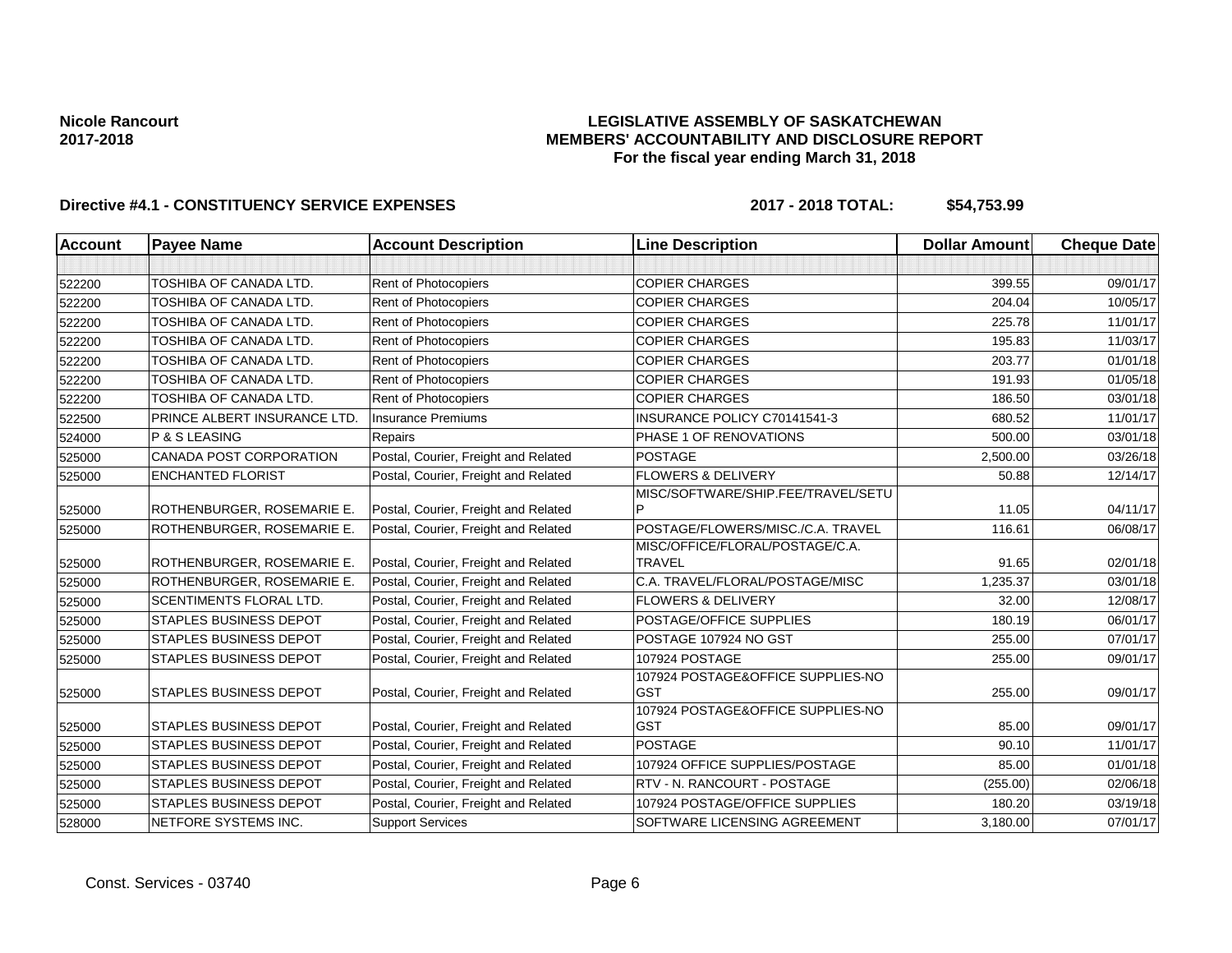## **LEGISLATIVE ASSEMBLY OF SASKATCHEWAN MEMBERS' ACCOUNTABILITY AND DISCLOSURE REPORT For the fiscal year ending March 31, 2018**

| Account | <b>Payee Name</b>              | <b>Account Description</b>           | <b>Line Description</b>                          | <b>Dollar Amount</b> | <b>Cheque Date</b> |
|---------|--------------------------------|--------------------------------------|--------------------------------------------------|----------------------|--------------------|
|         |                                |                                      |                                                  |                      |                    |
| 522200  | TOSHIBA OF CANADA LTD.         | Rent of Photocopiers                 | <b>COPIER CHARGES</b>                            | 399.55               | 09/01/17           |
| 522200  | TOSHIBA OF CANADA LTD.         | Rent of Photocopiers                 | <b>COPIER CHARGES</b>                            | 204.04               | 10/05/17           |
| 522200  | TOSHIBA OF CANADA LTD.         | Rent of Photocopiers                 | <b>COPIER CHARGES</b>                            | 225.78               | 11/01/17           |
| 522200  | TOSHIBA OF CANADA LTD.         | Rent of Photocopiers                 | <b>COPIER CHARGES</b>                            | 195.83               | 11/03/17           |
| 522200  | TOSHIBA OF CANADA LTD.         | Rent of Photocopiers                 | <b>COPIER CHARGES</b>                            | 203.77               | 01/01/18           |
| 522200  | TOSHIBA OF CANADA LTD.         | Rent of Photocopiers                 | <b>COPIER CHARGES</b>                            | 191.93               | 01/05/18           |
| 522200  | TOSHIBA OF CANADA LTD.         | Rent of Photocopiers                 | <b>COPIER CHARGES</b>                            | 186.50               | 03/01/18           |
| 522500  | PRINCE ALBERT INSURANCE LTD    | <b>Insurance Premiums</b>            | INSURANCE POLICY C70141541-3                     | 680.52               | 11/01/17           |
| 524000  | P & S LEASING                  | Repairs                              | PHASE 1 OF RENOVATIONS                           | 500.00               | 03/01/18           |
| 525000  | <b>CANADA POST CORPORATION</b> | Postal, Courier, Freight and Related | <b>POSTAGE</b>                                   | 2,500.00             | 03/26/18           |
| 525000  | <b>ENCHANTED FLORIST</b>       | Postal, Courier, Freight and Related | <b>FLOWERS &amp; DELIVERY</b>                    | 50.88                | 12/14/17           |
| 525000  | ROTHENBURGER, ROSEMARIE E.     | Postal, Courier, Freight and Related | MISC/SOFTWARE/SHIP.FEE/TRAVEL/SETU               | 11.05                | 04/11/17           |
| 525000  | ROTHENBURGER, ROSEMARIE E.     | Postal, Courier, Freight and Related | POSTAGE/FLOWERS/MISC./C.A. TRAVEL                | 116.61               | 06/08/17           |
| 525000  | ROTHENBURGER, ROSEMARIE E      | Postal, Courier, Freight and Related | MISC/OFFICE/FLORAL/POSTAGE/C.A.<br><b>TRAVEL</b> | 91.65                | 02/01/18           |
| 525000  | ROTHENBURGER, ROSEMARIE E.     | Postal, Courier, Freight and Related | C.A. TRAVEL/FLORAL/POSTAGE/MISC                  | 1,235.37             | 03/01/18           |
| 525000  | <b>SCENTIMENTS FLORAL LTD.</b> | Postal, Courier, Freight and Related | <b>FLOWERS &amp; DELIVERY</b>                    | 32.00                | 12/08/17           |
| 525000  | <b>STAPLES BUSINESS DEPOT</b>  | Postal, Courier, Freight and Related | POSTAGE/OFFICE SUPPLIES                          | 180.19               | 06/01/17           |
| 525000  | <b>STAPLES BUSINESS DEPOT</b>  | Postal, Courier, Freight and Related | POSTAGE 107924 NO GST                            | 255.00               | 07/01/17           |
| 525000  | <b>STAPLES BUSINESS DEPOT</b>  | Postal, Courier, Freight and Related | 107924 POSTAGE                                   | 255.00               | 09/01/17           |
| 525000  | <b>STAPLES BUSINESS DEPOT</b>  | Postal, Courier, Freight and Related | 107924 POSTAGE&OFFICE SUPPLIES-NO<br><b>GST</b>  | 255.00               | 09/01/17           |
| 525000  | <b>STAPLES BUSINESS DEPOT</b>  | Postal, Courier, Freight and Related | 107924 POSTAGE&OFFICE SUPPLIES-NO<br><b>GST</b>  | 85.00                | 09/01/17           |
| 525000  | <b>STAPLES BUSINESS DEPOT</b>  | Postal, Courier, Freight and Related | <b>POSTAGE</b>                                   | 90.10                | 11/01/17           |
| 525000  | <b>STAPLES BUSINESS DEPOT</b>  | Postal, Courier, Freight and Related | 107924 OFFICE SUPPLIES/POSTAGE                   | 85.00                | 01/01/18           |
| 525000  | <b>STAPLES BUSINESS DEPOT</b>  | Postal, Courier, Freight and Related | RTV - N. RANCOURT - POSTAGE                      | (255.00)             | 02/06/18           |
| 525000  | <b>STAPLES BUSINESS DEPOT</b>  | Postal, Courier, Freight and Related | 107924 POSTAGE/OFFICE SUPPLIES                   | 180.20               | 03/19/18           |
| 528000  | NETFORE SYSTEMS INC.           | <b>Support Services</b>              | SOFTWARE LICENSING AGREEMENT                     | 3,180.00             | 07/01/17           |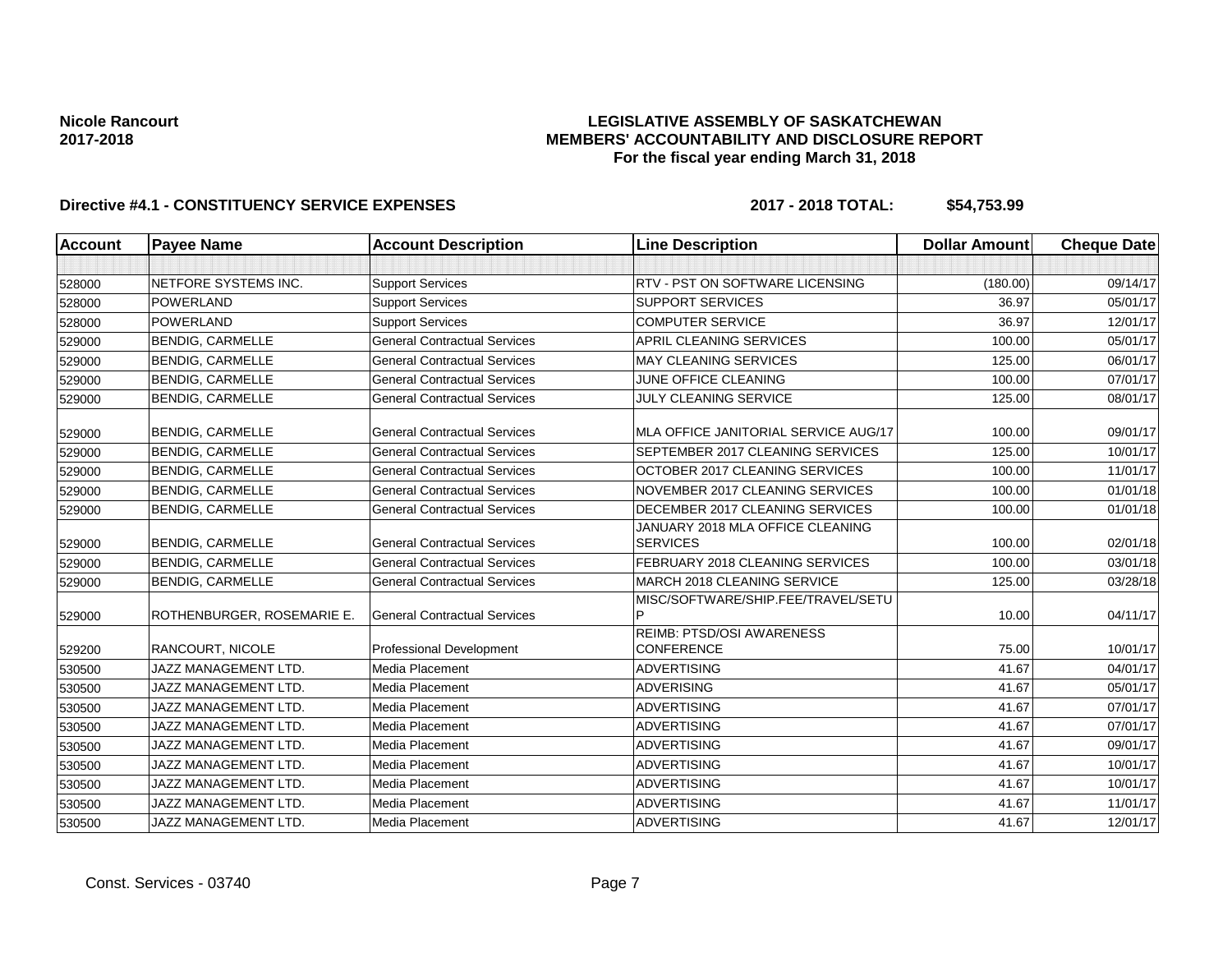## **LEGISLATIVE ASSEMBLY OF SASKATCHEWAN MEMBERS' ACCOUNTABILITY AND DISCLOSURE REPORT For the fiscal year ending March 31, 2018**

| <b>Account</b> | <b>Payee Name</b>          | <b>Account Description</b>          | <b>Line Description</b>                             | <b>Dollar Amount</b> | <b>Cheque Date</b> |
|----------------|----------------------------|-------------------------------------|-----------------------------------------------------|----------------------|--------------------|
|                |                            |                                     |                                                     |                      |                    |
| 528000         | NETFORE SYSTEMS INC.       | <b>Support Services</b>             | RTV - PST ON SOFTWARE LICENSING                     | (180.00)             | 09/14/17           |
| 528000         | <b>POWERLAND</b>           | <b>Support Services</b>             | <b>SUPPORT SERVICES</b>                             | 36.97                | 05/01/17           |
| 528000         | POWERLAND                  | <b>Support Services</b>             | <b>COMPUTER SERVICE</b>                             | 36.97                | 12/01/17           |
| 529000         | <b>BENDIG, CARMELLE</b>    | <b>General Contractual Services</b> | APRIL CLEANING SERVICES                             | 100.00               | 05/01/17           |
| 529000         | <b>BENDIG, CARMELLE</b>    | <b>General Contractual Services</b> | <b>MAY CLEANING SERVICES</b>                        | 125.00               | 06/01/17           |
| 529000         | <b>BENDIG, CARMELLE</b>    | <b>General Contractual Services</b> | JUNE OFFICE CLEANING                                | 100.00               | 07/01/17           |
| 529000         | <b>BENDIG, CARMELLE</b>    | <b>General Contractual Services</b> | JULY CLEANING SERVICE                               | 125.00               | 08/01/17           |
| 529000         | <b>BENDIG, CARMELLE</b>    | <b>General Contractual Services</b> | MLA OFFICE JANITORIAL SERVICE AUG/17                | 100.00               | 09/01/17           |
| 529000         | <b>BENDIG, CARMELLE</b>    | <b>General Contractual Services</b> | SEPTEMBER 2017 CLEANING SERVICES                    | 125.00               | 10/01/17           |
| 529000         | <b>BENDIG, CARMELLE</b>    | <b>General Contractual Services</b> | OCTOBER 2017 CLEANING SERVICES                      | 100.00               | 11/01/17           |
| 529000         | <b>BENDIG, CARMELLE</b>    | <b>General Contractual Services</b> | NOVEMBER 2017 CLEANING SERVICES                     | 100.00               | 01/01/18           |
| 529000         | <b>BENDIG, CARMELLE</b>    | <b>General Contractual Services</b> | DECEMBER 2017 CLEANING SERVICES                     | 100.00               | 01/01/18           |
| 529000         | <b>BENDIG, CARMELLE</b>    | <b>General Contractual Services</b> | JANUARY 2018 MLA OFFICE CLEANING<br><b>SERVICES</b> | 100.00               | 02/01/18           |
| 529000         | <b>BENDIG, CARMELLE</b>    | <b>General Contractual Services</b> | FEBRUARY 2018 CLEANING SERVICES                     | 100.00               | 03/01/18           |
| 529000         | <b>BENDIG, CARMELLE</b>    | <b>General Contractual Services</b> | MARCH 2018 CLEANING SERVICE                         | 125.00               | 03/28/18           |
| 529000         | ROTHENBURGER, ROSEMARIE E. | <b>General Contractual Services</b> | MISC/SOFTWARE/SHIP.FEE/TRAVEL/SETU                  | 10.00                | 04/11/17           |
| 529200         | <b>RANCOURT, NICOLE</b>    | Professional Development            | REIMB: PTSD/OSI AWARENESS<br><b>CONFERENCE</b>      | 75.00                | 10/01/17           |
| 530500         | JAZZ MANAGEMENT LTD.       | <b>Media Placement</b>              | <b>ADVERTISING</b>                                  | 41.67                | 04/01/17           |
| 530500         | JAZZ MANAGEMENT LTD.       | <b>Media Placement</b>              | <b>ADVERISING</b>                                   | 41.67                | 05/01/17           |
| 530500         | JAZZ MANAGEMENT LTD.       | Media Placement                     | <b>ADVERTISING</b>                                  | 41.67                | 07/01/17           |
| 530500         | JAZZ MANAGEMENT LTD.       | Media Placement                     | <b>ADVERTISING</b>                                  | 41.67                | 07/01/17           |
| 530500         | JAZZ MANAGEMENT LTD.       | Media Placement                     | <b>ADVERTISING</b>                                  | 41.67                | 09/01/17           |
| 530500         | JAZZ MANAGEMENT LTD.       | Media Placement                     | <b>ADVERTISING</b>                                  | 41.67                | 10/01/17           |
| 530500         | JAZZ MANAGEMENT LTD.       | Media Placement                     | <b>ADVERTISING</b>                                  | 41.67                | 10/01/17           |
| 530500         | JAZZ MANAGEMENT LTD.       | <b>Media Placement</b>              | <b>ADVERTISING</b>                                  | 41.67                | 11/01/17           |
| 530500         | JAZZ MANAGEMENT LTD.       | Media Placement                     | <b>ADVERTISING</b>                                  | 41.67                | 12/01/17           |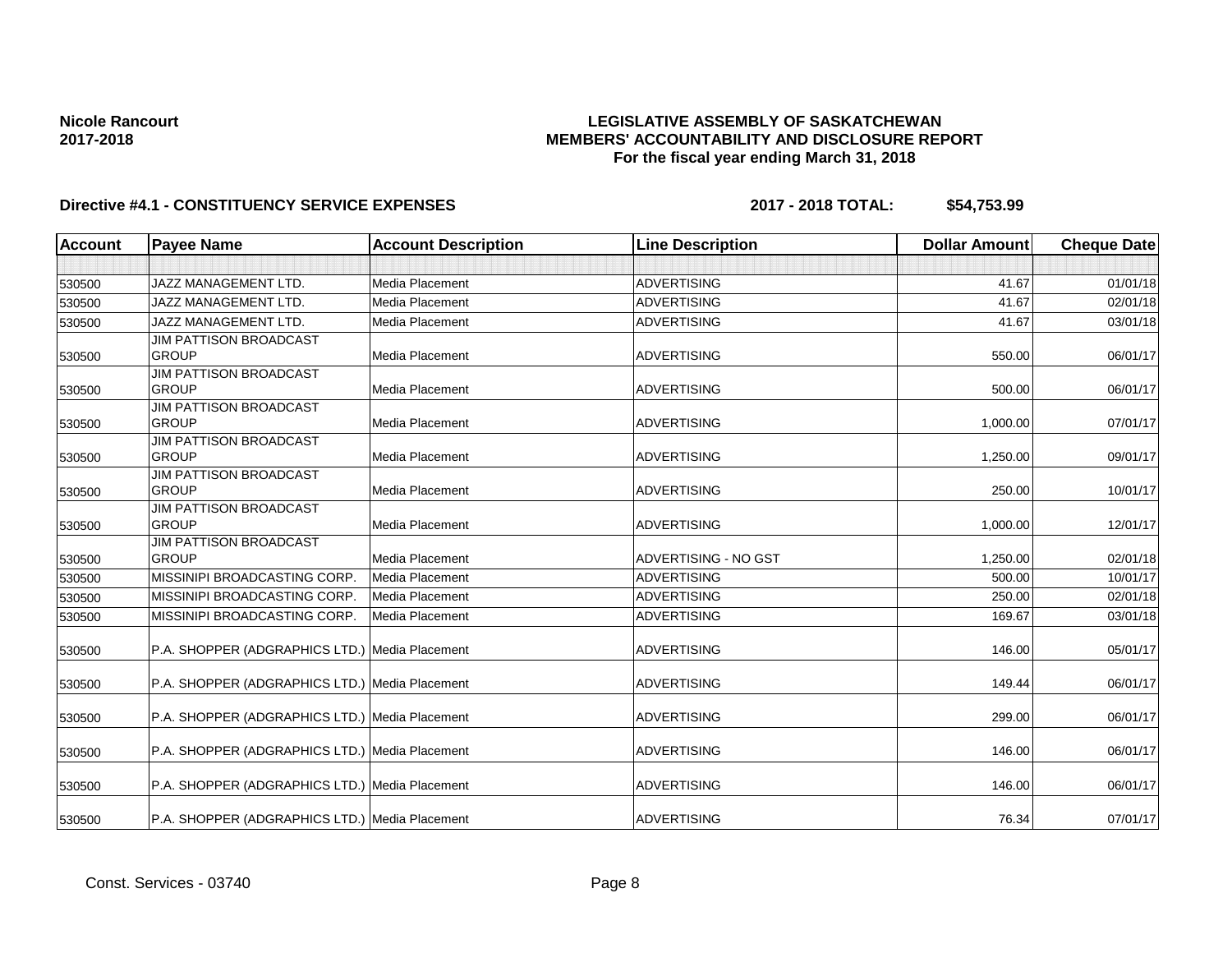## **LEGISLATIVE ASSEMBLY OF SASKATCHEWAN MEMBERS' ACCOUNTABILITY AND DISCLOSURE REPORT For the fiscal year ending March 31, 2018**

| <b>Account</b> | <b>Payee Name</b>                              | <b>Account Description</b> | <b>Line Description</b> | <b>Dollar Amount</b> | <b>Cheque Date</b> |
|----------------|------------------------------------------------|----------------------------|-------------------------|----------------------|--------------------|
|                |                                                |                            |                         |                      |                    |
| 530500         | <b>JAZZ MANAGEMENT LTD.</b>                    | Media Placement            | <b>ADVERTISING</b>      | 41.67                | 01/01/18           |
| 530500         | JAZZ MANAGEMENT LTD.                           | Media Placement            | <b>ADVERTISING</b>      | 41.67                | 02/01/18           |
| 530500         | <b>JAZZ MANAGEMENT LTD.</b>                    | Media Placement            | <b>ADVERTISING</b>      | 41.67                | 03/01/18           |
|                | <b>JIM PATTISON BROADCAST</b>                  |                            |                         |                      |                    |
| 530500         | <b>GROUP</b>                                   | Media Placement            | <b>ADVERTISING</b>      | 550.00               | 06/01/17           |
|                | <b>JIM PATTISON BROADCAST</b>                  |                            |                         |                      |                    |
| 530500         | <b>GROUP</b>                                   | Media Placement            | <b>ADVERTISING</b>      | 500.00               | 06/01/17           |
|                | <b>JIM PATTISON BROADCAST</b>                  |                            |                         |                      |                    |
| 530500         | <b>GROUP</b>                                   | Media Placement            | <b>ADVERTISING</b>      | 1,000.00             | 07/01/17           |
|                | <b>JIM PATTISON BROADCAST</b>                  |                            |                         |                      |                    |
| 530500         | <b>GROUP</b>                                   | Media Placement            | <b>ADVERTISING</b>      | 1,250.00             | 09/01/17           |
|                | <b>JIM PATTISON BROADCAST</b><br>GROUP         | <b>Media Placement</b>     | <b>ADVERTISING</b>      | 250.00               | 10/01/17           |
| 530500         | <b>JIM PATTISON BROADCAST</b>                  |                            |                         |                      |                    |
| 530500         | <b>GROUP</b>                                   | Media Placement            | <b>ADVERTISING</b>      | 1,000.00             | 12/01/17           |
|                | <b>JIM PATTISON BROADCAST</b>                  |                            |                         |                      |                    |
| 530500         | <b>GROUP</b>                                   | Media Placement            | ADVERTISING - NO GST    | 1,250.00             | 02/01/18           |
| 530500         | MISSINIPI BROADCASTING CORP.                   | Media Placement            | <b>ADVERTISING</b>      | 500.00               | 10/01/17           |
| 530500         | MISSINIPI BROADCASTING CORP.                   | Media Placement            | <b>ADVERTISING</b>      | 250.00               | 02/01/18           |
| 530500         | MISSINIPI BROADCASTING CORP.                   | Media Placement            | <b>ADVERTISING</b>      | 169.67               | 03/01/18           |
|                |                                                |                            |                         |                      |                    |
| 530500         | P.A. SHOPPER (ADGRAPHICS LTD.) Media Placement |                            | <b>ADVERTISING</b>      | 146.00               | 05/01/17           |
|                |                                                |                            |                         |                      |                    |
| 530500         | P.A. SHOPPER (ADGRAPHICS LTD.) Media Placement |                            | <b>ADVERTISING</b>      | 149.44               | 06/01/17           |
| 530500         | P.A. SHOPPER (ADGRAPHICS LTD.) Media Placement |                            | <b>ADVERTISING</b>      | 299.00               | 06/01/17           |
|                |                                                |                            |                         |                      |                    |
| 530500         | P.A. SHOPPER (ADGRAPHICS LTD.) Media Placement |                            | <b>ADVERTISING</b>      | 146.00               | 06/01/17           |
| 530500         | P.A. SHOPPER (ADGRAPHICS LTD.) Media Placement |                            | <b>ADVERTISING</b>      | 146.00               | 06/01/17           |
| 530500         | P.A. SHOPPER (ADGRAPHICS LTD.) Media Placement |                            | <b>ADVERTISING</b>      | 76.34                | 07/01/17           |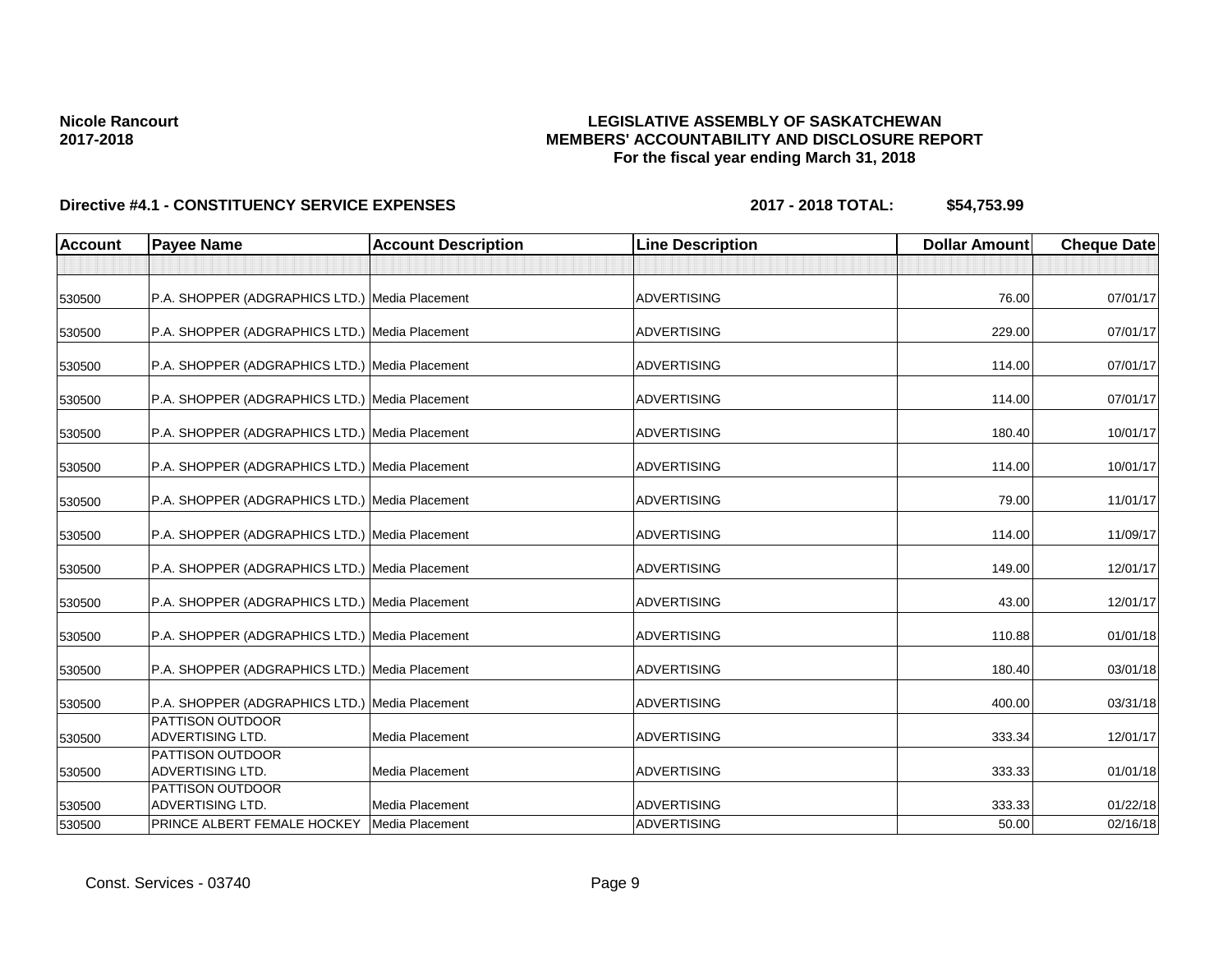## **LEGISLATIVE ASSEMBLY OF SASKATCHEWAN MEMBERS' ACCOUNTABILITY AND DISCLOSURE REPORT For the fiscal year ending March 31, 2018**

| <b>Account</b> | <b>Payee Name</b>                              | <b>Account Description</b> | <b>Line Description</b> | <b>Dollar Amount</b> | <b>Cheque Date</b> |
|----------------|------------------------------------------------|----------------------------|-------------------------|----------------------|--------------------|
|                |                                                |                            |                         |                      |                    |
| 530500         | P.A. SHOPPER (ADGRAPHICS LTD.) Media Placement |                            | <b>ADVERTISING</b>      | 76.00                | 07/01/17           |
| 530500         | P.A. SHOPPER (ADGRAPHICS LTD.) Media Placement |                            | <b>ADVERTISING</b>      | 229.00               | 07/01/17           |
| 530500         | P.A. SHOPPER (ADGRAPHICS LTD.) Media Placement |                            | <b>ADVERTISING</b>      | 114.00               | 07/01/17           |
| 530500         | P.A. SHOPPER (ADGRAPHICS LTD.) Media Placement |                            | <b>ADVERTISING</b>      | 114.00               | 07/01/17           |
| 530500         | P.A. SHOPPER (ADGRAPHICS LTD.) Media Placement |                            | <b>ADVERTISING</b>      | 180.40               | 10/01/17           |
| 530500         | P.A. SHOPPER (ADGRAPHICS LTD.) Media Placement |                            | <b>ADVERTISING</b>      | 114.00               | 10/01/17           |
| 530500         | P.A. SHOPPER (ADGRAPHICS LTD.) Media Placement |                            | <b>ADVERTISING</b>      | 79.00                | 11/01/17           |
| 530500         | P.A. SHOPPER (ADGRAPHICS LTD.) Media Placement |                            | <b>ADVERTISING</b>      | 114.00               | 11/09/17           |
| 530500         | P.A. SHOPPER (ADGRAPHICS LTD.) Media Placement |                            | <b>ADVERTISING</b>      | 149.00               | 12/01/17           |
| 530500         | P.A. SHOPPER (ADGRAPHICS LTD.) Media Placement |                            | <b>ADVERTISING</b>      | 43.00                | 12/01/17           |
| 530500         | P.A. SHOPPER (ADGRAPHICS LTD.) Media Placement |                            | <b>ADVERTISING</b>      | 110.88               | 01/01/18           |
| 530500         | P.A. SHOPPER (ADGRAPHICS LTD.) Media Placement |                            | <b>ADVERTISING</b>      | 180.40               | 03/01/18           |
| 530500         | P.A. SHOPPER (ADGRAPHICS LTD.) Media Placement |                            | <b>ADVERTISING</b>      | 400.00               | 03/31/18           |
| 530500         | PATTISON OUTDOOR<br>ADVERTISING LTD.           | Media Placement            | <b>ADVERTISING</b>      | 333.34               | 12/01/17           |
| 530500         | PATTISON OUTDOOR<br>ADVERTISING LTD.           | Media Placement            | <b>ADVERTISING</b>      | 333.33               | 01/01/18           |
| 530500         | PATTISON OUTDOOR<br>ADVERTISING LTD.           | Media Placement            | <b>ADVERTISING</b>      | 333.33               | 01/22/18           |
| 530500         | PRINCE ALBERT FEMALE HOCKEY                    | Media Placement            | <b>ADVERTISING</b>      | 50.00                | 02/16/18           |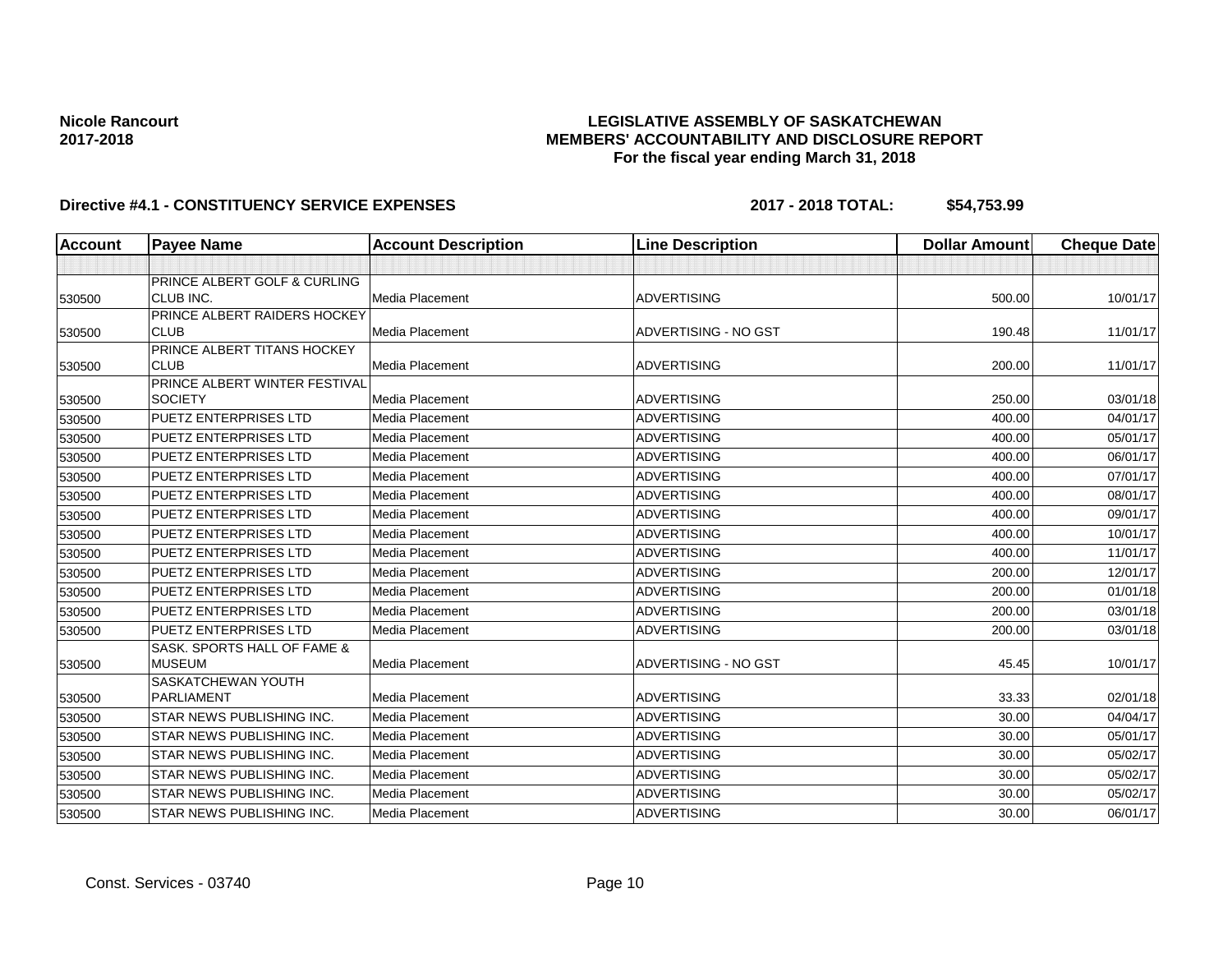## **LEGISLATIVE ASSEMBLY OF SASKATCHEWAN MEMBERS' ACCOUNTABILITY AND DISCLOSURE REPORT For the fiscal year ending March 31, 2018**

| <b>Account</b> | <b>Payee Name</b>                            | <b>Account Description</b> | <b>Line Description</b> | <b>Dollar Amount</b> | <b>Cheque Date</b>   |
|----------------|----------------------------------------------|----------------------------|-------------------------|----------------------|----------------------|
|                |                                              |                            |                         |                      |                      |
|                | PRINCE ALBERT GOLF & CURLING                 |                            |                         |                      |                      |
| 530500         | CLUB INC.                                    | Media Placement            | <b>ADVERTISING</b>      | 500.00               | 10/01/17             |
|                | PRINCE ALBERT RAIDERS HOCKEY                 |                            |                         |                      |                      |
| 530500         | <b>CLUB</b>                                  | Media Placement            | ADVERTISING - NO GST    | 190.48               | 11/01/17             |
|                | PRINCE ALBERT TITANS HOCKEY                  |                            |                         |                      |                      |
| 530500         | <b>CLUB</b><br>PRINCE ALBERT WINTER FESTIVAL | <b>Media Placement</b>     | <b>ADVERTISING</b>      | 200.00               | 11/01/17             |
| 530500         | <b>SOCIETY</b>                               | <b>Media Placement</b>     | <b>ADVERTISING</b>      | 250.00               | 03/01/18             |
|                | <b>PUETZ ENTERPRISES LTD</b>                 | Media Placement            | <b>ADVERTISING</b>      | 400.00               | 04/01/17             |
| 530500         | <b>PUETZ ENTERPRISES LTD</b>                 | Media Placement            | <b>ADVERTISING</b>      | 400.00               |                      |
| 530500         | <b>PUETZ ENTERPRISES LTD</b>                 |                            | <b>ADVERTISING</b>      |                      | 05/01/17<br>06/01/17 |
| 530500         |                                              | Media Placement            |                         | 400.00               |                      |
| 530500         | <b>PUETZ ENTERPRISES LTD</b>                 | Media Placement            | <b>ADVERTISING</b>      | 400.00               | 07/01/17             |
| 530500         | <b>PUETZ ENTERPRISES LTD</b>                 | Media Placement            | <b>ADVERTISING</b>      | 400.00               | 08/01/17             |
| 530500         | <b>PUETZ ENTERPRISES LTD</b>                 | Media Placement            | <b>ADVERTISING</b>      | 400.00               | 09/01/17             |
| 530500         | <b>PUETZ ENTERPRISES LTD</b>                 | Media Placement            | <b>ADVERTISING</b>      | 400.00               | 10/01/17             |
| 530500         | <b>PUETZ ENTERPRISES LTD</b>                 | Media Placement            | <b>ADVERTISING</b>      | 400.00               | 11/01/17             |
| 530500         | <b>PUETZ ENTERPRISES LTD</b>                 | Media Placement            | <b>ADVERTISING</b>      | 200.00               | 12/01/17             |
| 530500         | PUETZ ENTERPRISES LTD                        | Media Placement            | <b>ADVERTISING</b>      | 200.00               | 01/01/18             |
| 530500         | <b>PUETZ ENTERPRISES LTD</b>                 | Media Placement            | <b>ADVERTISING</b>      | 200.00               | 03/01/18             |
| 530500         | PUETZ ENTERPRISES LTD                        | Media Placement            | <b>ADVERTISING</b>      | 200.00               | 03/01/18             |
|                | SASK. SPORTS HALL OF FAME &                  |                            |                         |                      |                      |
| 530500         | <b>MUSEUM</b>                                | Media Placement            | ADVERTISING - NO GST    | 45.45                | 10/01/17             |
|                | SASKATCHEWAN YOUTH                           |                            |                         |                      |                      |
| 530500         | <b>PARLIAMENT</b>                            | Media Placement            | <b>ADVERTISING</b>      | 33.33                | 02/01/18             |
| 530500         | <b>STAR NEWS PUBLISHING INC.</b>             | Media Placement            | <b>ADVERTISING</b>      | 30.00                | 04/04/17             |
| 530500         | <b>STAR NEWS PUBLISHING INC.</b>             | Media Placement            | <b>ADVERTISING</b>      | 30.00                | 05/01/17             |
| 530500         | <b>STAR NEWS PUBLISHING INC.</b>             | Media Placement            | <b>ADVERTISING</b>      | 30.00                | 05/02/17             |
| 530500         | <b>STAR NEWS PUBLISHING INC.</b>             | Media Placement            | <b>ADVERTISING</b>      | 30.00                | 05/02/17             |
| 530500         | STAR NEWS PUBLISHING INC.                    | Media Placement            | <b>ADVERTISING</b>      | 30.00                | 05/02/17             |
| 530500         | <b>STAR NEWS PUBLISHING INC.</b>             | Media Placement            | <b>ADVERTISING</b>      | 30.00                | 06/01/17             |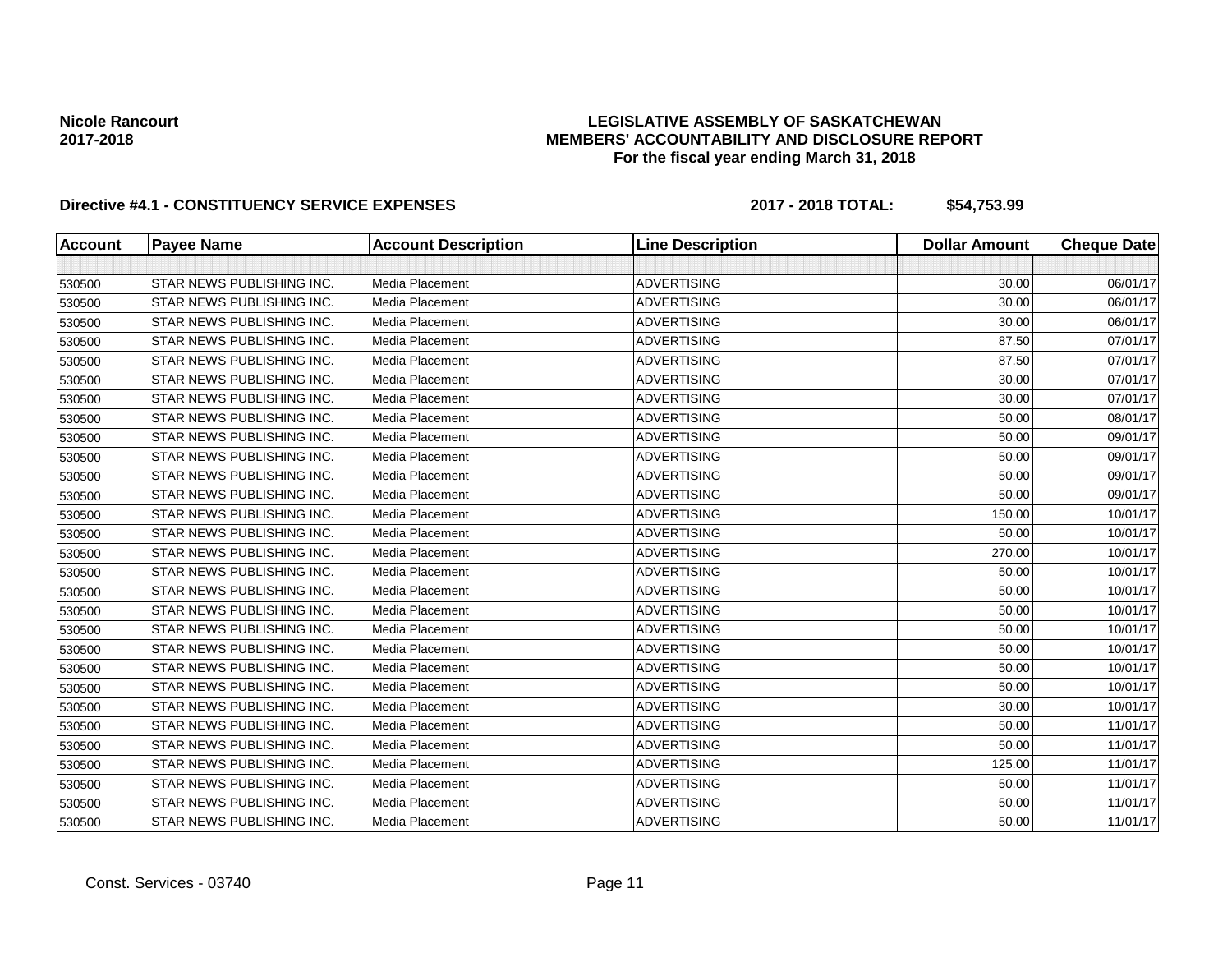## **LEGISLATIVE ASSEMBLY OF SASKATCHEWAN MEMBERS' ACCOUNTABILITY AND DISCLOSURE REPORT For the fiscal year ending March 31, 2018**

| <b>Account</b> | <b>Payee Name</b>         | <b>Account Description</b> | <b>Line Description</b> | <b>Dollar Amount</b> | <b>Cheque Date</b> |
|----------------|---------------------------|----------------------------|-------------------------|----------------------|--------------------|
|                |                           |                            |                         |                      |                    |
| 530500         | STAR NEWS PUBLISHING INC. | <b>Media Placement</b>     | <b>ADVERTISING</b>      | 30.00                | 06/01/17           |
| 530500         | STAR NEWS PUBLISHING INC. | Media Placement            | <b>ADVERTISING</b>      | 30.00                | 06/01/17           |
| 530500         | STAR NEWS PUBLISHING INC. | Media Placement            | <b>ADVERTISING</b>      | 30.00                | 06/01/17           |
| 530500         | STAR NEWS PUBLISHING INC. | Media Placement            | <b>ADVERTISING</b>      | 87.50                | 07/01/17           |
| 530500         | STAR NEWS PUBLISHING INC. | Media Placement            | <b>ADVERTISING</b>      | 87.50                | 07/01/17           |
| 530500         | STAR NEWS PUBLISHING INC. | Media Placement            | <b>ADVERTISING</b>      | 30.00                | 07/01/17           |
| 530500         | STAR NEWS PUBLISHING INC. | Media Placement            | <b>ADVERTISING</b>      | 30.00                | 07/01/17           |
| 530500         | STAR NEWS PUBLISHING INC. | Media Placement            | <b>ADVERTISING</b>      | 50.00                | 08/01/17           |
| 530500         | STAR NEWS PUBLISHING INC. | Media Placement            | <b>ADVERTISING</b>      | 50.00                | 09/01/17           |
| 530500         | STAR NEWS PUBLISHING INC. | Media Placement            | <b>ADVERTISING</b>      | 50.00                | 09/01/17           |
| 530500         | STAR NEWS PUBLISHING INC. | <b>Media Placement</b>     | <b>ADVERTISING</b>      | 50.00                | 09/01/17           |
| 530500         | STAR NEWS PUBLISHING INC. | Media Placement            | <b>ADVERTISING</b>      | 50.00                | 09/01/17           |
| 530500         | STAR NEWS PUBLISHING INC. | Media Placement            | <b>ADVERTISING</b>      | 150.00               | 10/01/17           |
| 530500         | STAR NEWS PUBLISHING INC. | <b>Media Placement</b>     | <b>ADVERTISING</b>      | 50.00                | 10/01/17           |
| 530500         | STAR NEWS PUBLISHING INC. | Media Placement            | <b>ADVERTISING</b>      | 270.00               | 10/01/17           |
| 530500         | STAR NEWS PUBLISHING INC. | <b>Media Placement</b>     | <b>ADVERTISING</b>      | 50.00                | 10/01/17           |
| 530500         | STAR NEWS PUBLISHING INC. | Media Placement            | <b>ADVERTISING</b>      | 50.00                | 10/01/17           |
| 530500         | STAR NEWS PUBLISHING INC. | Media Placement            | <b>ADVERTISING</b>      | 50.00                | 10/01/17           |
| 530500         | STAR NEWS PUBLISHING INC. | <b>Media Placement</b>     | <b>ADVERTISING</b>      | 50.00                | 10/01/17           |
| 530500         | STAR NEWS PUBLISHING INC. | Media Placement            | <b>ADVERTISING</b>      | 50.00                | 10/01/17           |
| 530500         | STAR NEWS PUBLISHING INC. | Media Placement            | <b>ADVERTISING</b>      | 50.00                | 10/01/17           |
| 530500         | STAR NEWS PUBLISHING INC. | Media Placement            | <b>ADVERTISING</b>      | 50.00                | 10/01/17           |
| 530500         | STAR NEWS PUBLISHING INC. | Media Placement            | <b>ADVERTISING</b>      | 30.00                | 10/01/17           |
| 530500         | STAR NEWS PUBLISHING INC. | <b>Media Placement</b>     | <b>ADVERTISING</b>      | 50.00                | 11/01/17           |
| 530500         | STAR NEWS PUBLISHING INC. | Media Placement            | <b>ADVERTISING</b>      | 50.00                | 11/01/17           |
| 530500         | STAR NEWS PUBLISHING INC. | Media Placement            | <b>ADVERTISING</b>      | 125.00               | 11/01/17           |
| 530500         | STAR NEWS PUBLISHING INC. | Media Placement            | <b>ADVERTISING</b>      | 50.00                | 11/01/17           |
| 530500         | STAR NEWS PUBLISHING INC. | Media Placement            | <b>ADVERTISING</b>      | 50.00                | 11/01/17           |
| 530500         | STAR NEWS PUBLISHING INC. | Media Placement            | <b>ADVERTISING</b>      | 50.00                | 11/01/17           |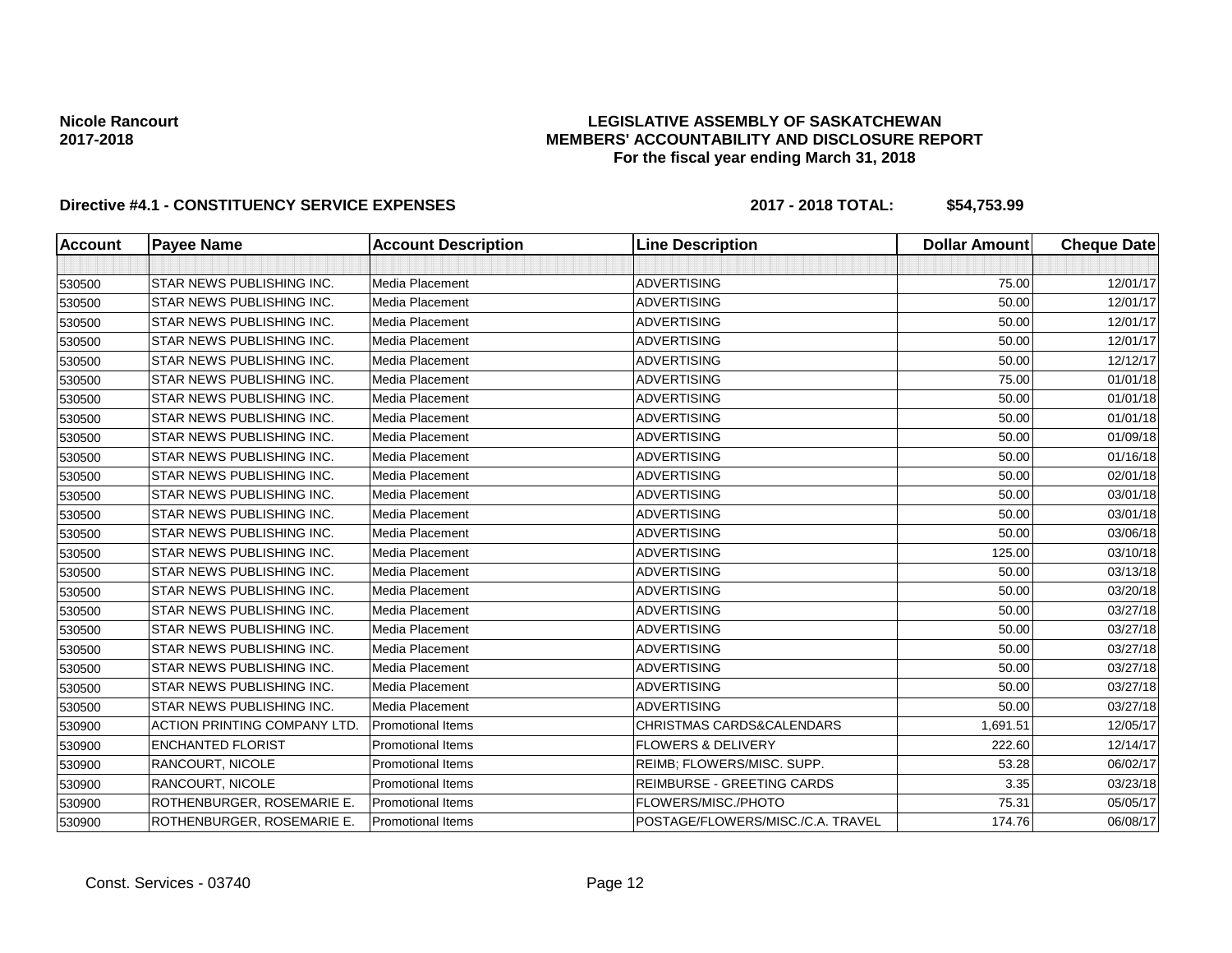## **LEGISLATIVE ASSEMBLY OF SASKATCHEWAN MEMBERS' ACCOUNTABILITY AND DISCLOSURE REPORT For the fiscal year ending March 31, 2018**

| <b>Account</b> | <b>Payee Name</b>                  | <b>Account Description</b> | <b>Line Description</b>           | <b>Dollar Amount</b> | <b>Cheque Date</b> |
|----------------|------------------------------------|----------------------------|-----------------------------------|----------------------|--------------------|
|                |                                    |                            |                                   |                      |                    |
| 530500         | STAR NEWS PUBLISHING INC.          | Media Placement            | <b>ADVERTISING</b>                | 75.00                | 12/01/17           |
| 530500         | STAR NEWS PUBLISHING INC.          | Media Placement            | <b>ADVERTISING</b>                | 50.00                | 12/01/17           |
| 530500         | STAR NEWS PUBLISHING INC.          | Media Placement            | <b>ADVERTISING</b>                | 50.00                | 12/01/17           |
| 530500         | STAR NEWS PUBLISHING INC.          | Media Placement            | <b>ADVERTISING</b>                | 50.00                | 12/01/17           |
| 530500         | STAR NEWS PUBLISHING INC.          | Media Placement            | <b>ADVERTISING</b>                | 50.00                | 12/12/17           |
| 530500         | STAR NEWS PUBLISHING INC.          | Media Placement            | <b>ADVERTISING</b>                | 75.00                | 01/01/18           |
| 530500         | STAR NEWS PUBLISHING INC.          | Media Placement            | <b>ADVERTISING</b>                | 50.00                | 01/01/18           |
| 530500         | STAR NEWS PUBLISHING INC.          | Media Placement            | <b>ADVERTISING</b>                | 50.00                | 01/01/18           |
| 530500         | STAR NEWS PUBLISHING INC.          | Media Placement            | <b>ADVERTISING</b>                | 50.00                | 01/09/18           |
| 530500         | STAR NEWS PUBLISHING INC.          | Media Placement            | <b>ADVERTISING</b>                | 50.00                | 01/16/18           |
| 530500         | STAR NEWS PUBLISHING INC.          | Media Placement            | <b>ADVERTISING</b>                | 50.00                | 02/01/18           |
| 530500         | STAR NEWS PUBLISHING INC.          | Media Placement            | <b>ADVERTISING</b>                | 50.00                | 03/01/18           |
| 530500         | STAR NEWS PUBLISHING INC.          | Media Placement            | <b>ADVERTISING</b>                | 50.00                | 03/01/18           |
| 530500         | STAR NEWS PUBLISHING INC.          | Media Placement            | <b>ADVERTISING</b>                | 50.00                | 03/06/18           |
| 530500         | STAR NEWS PUBLISHING INC.          | Media Placement            | <b>ADVERTISING</b>                | 125.00               | 03/10/18           |
| 530500         | STAR NEWS PUBLISHING INC.          | Media Placement            | <b>ADVERTISING</b>                | 50.00                | 03/13/18           |
| 530500         | STAR NEWS PUBLISHING INC.          | Media Placement            | <b>ADVERTISING</b>                | 50.00                | 03/20/18           |
| 530500         | STAR NEWS PUBLISHING INC.          | Media Placement            | <b>ADVERTISING</b>                | 50.00                | 03/27/18           |
| 530500         | STAR NEWS PUBLISHING INC.          | Media Placement            | <b>ADVERTISING</b>                | 50.00                | 03/27/18           |
| 530500         | STAR NEWS PUBLISHING INC.          | Media Placement            | <b>ADVERTISING</b>                | 50.00                | 03/27/18           |
| 530500         | STAR NEWS PUBLISHING INC.          | <b>Media Placement</b>     | <b>ADVERTISING</b>                | 50.00                | 03/27/18           |
| 530500         | STAR NEWS PUBLISHING INC.          | Media Placement            | <b>ADVERTISING</b>                | 50.00                | 03/27/18           |
| 530500         | STAR NEWS PUBLISHING INC.          | Media Placement            | <b>ADVERTISING</b>                | 50.00                | 03/27/18           |
| 530900         | <b>ACTION PRINTING COMPANY LTD</b> | <b>Promotional Items</b>   | CHRISTMAS CARDS&CALENDARS         | 1,691.51             | 12/05/17           |
| 530900         | <b>ENCHANTED FLORIST</b>           | <b>Promotional Items</b>   | <b>FLOWERS &amp; DELIVERY</b>     | 222.60               | 12/14/17           |
| 530900         | RANCOURT, NICOLE                   | <b>Promotional Items</b>   | REIMB; FLOWERS/MISC. SUPP.        | 53.28                | 06/02/17           |
| 530900         | RANCOURT, NICOLE                   | <b>Promotional Items</b>   | REIMBURSE - GREETING CARDS        | 3.35                 | 03/23/18           |
| 530900         | ROTHENBURGER, ROSEMARIE E          | <b>Promotional Items</b>   | FLOWERS/MISC./PHOTO               | 75.31                | 05/05/17           |
| 530900         | ROTHENBURGER, ROSEMARIE E.         | <b>Promotional Items</b>   | POSTAGE/FLOWERS/MISC./C.A. TRAVEL | 174.76               | 06/08/17           |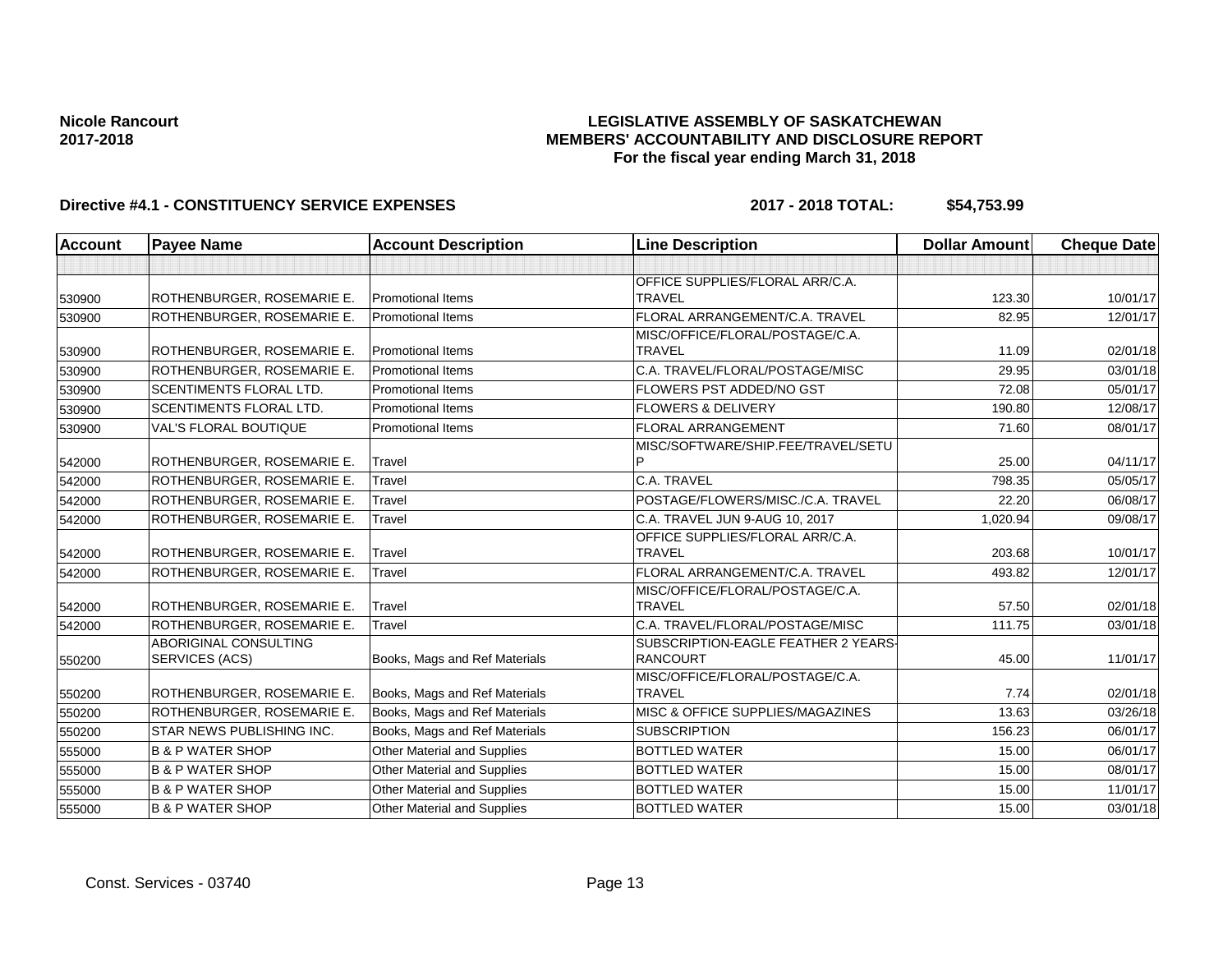## **LEGISLATIVE ASSEMBLY OF SASKATCHEWAN MEMBERS' ACCOUNTABILITY AND DISCLOSURE REPORT For the fiscal year ending March 31, 2018**

| <b>Account</b> | <b>Payee Name</b>                | <b>Account Description</b>         | <b>Line Description</b>             | <b>Dollar Amount</b> | <b>Cheque Date</b> |
|----------------|----------------------------------|------------------------------------|-------------------------------------|----------------------|--------------------|
|                |                                  |                                    |                                     |                      |                    |
|                |                                  |                                    | OFFICE SUPPLIES/FLORAL ARR/C.A.     |                      |                    |
| 530900         | ROTHENBURGER, ROSEMARIE E.       | <b>Promotional Items</b>           | <b>TRAVEL</b>                       | 123.30               | 10/01/17           |
| 530900         | ROTHENBURGER, ROSEMARIE E.       | <b>Promotional Items</b>           | FLORAL ARRANGEMENT/C.A. TRAVEL      | 82.95                | 12/01/17           |
|                |                                  |                                    | MISC/OFFICE/FLORAL/POSTAGE/C.A.     |                      |                    |
| 530900         | ROTHENBURGER, ROSEMARIE E.       | <b>Promotional Items</b>           | <b>TRAVEL</b>                       | 11.09                | 02/01/18           |
| 530900         | ROTHENBURGER, ROSEMARIE E.       | <b>Promotional Items</b>           | C.A. TRAVEL/FLORAL/POSTAGE/MISC     | 29.95                | 03/01/18           |
| 530900         | <b>SCENTIMENTS FLORAL LTD.</b>   | <b>Promotional Items</b>           | <b>FLOWERS PST ADDED/NO GST</b>     | 72.08                | 05/01/17           |
| 530900         | <b>SCENTIMENTS FLORAL LTD.</b>   | <b>Promotional Items</b>           | <b>FLOWERS &amp; DELIVERY</b>       | 190.80               | 12/08/17           |
| 530900         | <b>VAL'S FLORAL BOUTIQUE</b>     | <b>Promotional Items</b>           | <b>FLORAL ARRANGEMENT</b>           | 71.60                | 08/01/17           |
|                |                                  |                                    | MISC/SOFTWARE/SHIP.FEE/TRAVEL/SETU  |                      |                    |
| 542000         | ROTHENBURGER, ROSEMARIE E.       | Travel                             |                                     | 25.00                | 04/11/17           |
| 542000         | ROTHENBURGER, ROSEMARIE E.       | Travel                             | C.A. TRAVEL                         | 798.35               | 05/05/17           |
| 542000         | ROTHENBURGER, ROSEMARIE E.       | Travel                             | POSTAGE/FLOWERS/MISC./C.A. TRAVEL   | 22.20                | 06/08/17           |
| 542000         | ROTHENBURGER, ROSEMARIE E.       | Travel                             | C.A. TRAVEL JUN 9-AUG 10, 2017      | 1,020.94             | 09/08/17           |
|                |                                  |                                    | OFFICE SUPPLIES/FLORAL ARR/C.A.     |                      |                    |
| 542000         | ROTHENBURGER, ROSEMARIE E.       | Travel                             | <b>TRAVEL</b>                       | 203.68               | 10/01/17           |
| 542000         | ROTHENBURGER, ROSEMARIE E.       | Travel                             | FLORAL ARRANGEMENT/C.A. TRAVEL      | 493.82               | 12/01/17           |
|                |                                  |                                    | MISC/OFFICE/FLORAL/POSTAGE/C.A.     |                      |                    |
| 542000         | ROTHENBURGER, ROSEMARIE E.       | Travel                             | <b>TRAVEL</b>                       | 57.50                | 02/01/18           |
| 542000         | ROTHENBURGER, ROSEMARIE E.       | Travel                             | C.A. TRAVEL/FLORAL/POSTAGE/MISC     | 111.75               | 03/01/18           |
|                | <b>ABORIGINAL CONSULTING</b>     |                                    | SUBSCRIPTION-EAGLE FEATHER 2 YEARS- |                      |                    |
| 550200         | SERVICES (ACS)                   | Books, Mags and Ref Materials      | <b>RANCOURT</b>                     | 45.00                | 11/01/17           |
|                |                                  |                                    | MISC/OFFICE/FLORAL/POSTAGE/C.A.     |                      |                    |
| 550200         | ROTHENBURGER, ROSEMARIE E.       | Books, Mags and Ref Materials      | <b>TRAVEL</b>                       | 7.74                 | 02/01/18           |
| 550200         | ROTHENBURGER, ROSEMARIE E.       | Books, Mags and Ref Materials      | MISC & OFFICE SUPPLIES/MAGAZINES    | 13.63                | 03/26/18           |
| 550200         | <b>STAR NEWS PUBLISHING INC.</b> | Books, Mags and Ref Materials      | <b>SUBSCRIPTION</b>                 | 156.23               | 06/01/17           |
| 555000         | <b>B &amp; P WATER SHOP</b>      | <b>Other Material and Supplies</b> | <b>BOTTLED WATER</b>                | 15.00                | 06/01/17           |
| 555000         | <b>B &amp; P WATER SHOP</b>      | Other Material and Supplies        | <b>BOTTLED WATER</b>                | 15.00                | 08/01/17           |
| 555000         | <b>B &amp; P WATER SHOP</b>      | Other Material and Supplies        | <b>BOTTLED WATER</b>                | 15.00                | 11/01/17           |
| 555000         | <b>B &amp; P WATER SHOP</b>      | <b>Other Material and Supplies</b> | <b>BOTTLED WATER</b>                | 15.00                | 03/01/18           |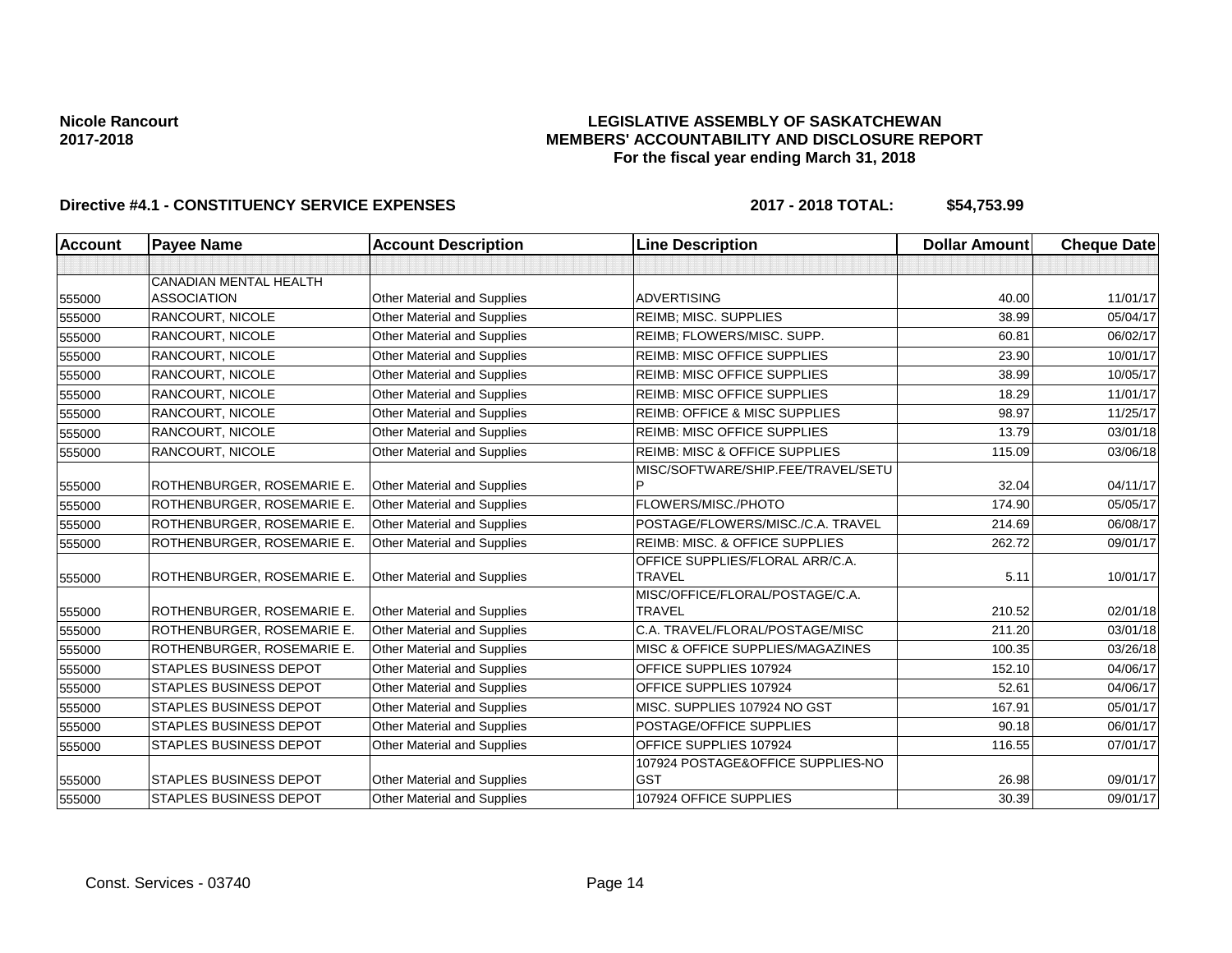## **LEGISLATIVE ASSEMBLY OF SASKATCHEWAN MEMBERS' ACCOUNTABILITY AND DISCLOSURE REPORT For the fiscal year ending March 31, 2018**

| <b>Account</b> | <b>Payee Name</b>             | <b>Account Description</b>         | <b>Line Description</b>                  | <b>Dollar Amount</b> | <b>Cheque Date</b> |
|----------------|-------------------------------|------------------------------------|------------------------------------------|----------------------|--------------------|
|                |                               |                                    |                                          |                      |                    |
|                | <b>CANADIAN MENTAL HEALTH</b> |                                    |                                          |                      |                    |
| 555000         | <b>ASSOCIATION</b>            | <b>Other Material and Supplies</b> | <b>ADVERTISING</b>                       | 40.00                | 11/01/17           |
| 555000         | RANCOURT, NICOLE              | Other Material and Supplies        | <b>REIMB: MISC. SUPPLIES</b>             | 38.99                | 05/04/17           |
| 555000         | <b>RANCOURT, NICOLE</b>       | <b>Other Material and Supplies</b> | REIMB; FLOWERS/MISC. SUPP.               | 60.81                | 06/02/17           |
| 555000         | RANCOURT, NICOLE              | <b>Other Material and Supplies</b> | <b>REIMB: MISC OFFICE SUPPLIES</b>       | 23.90                | 10/01/17           |
| 555000         | RANCOURT, NICOLE              | <b>Other Material and Supplies</b> | <b>REIMB: MISC OFFICE SUPPLIES</b>       | 38.99                | 10/05/17           |
| 555000         | <b>RANCOURT. NICOLE</b>       | <b>Other Material and Supplies</b> | <b>REIMB: MISC OFFICE SUPPLIES</b>       | 18.29                | 11/01/17           |
| 555000         | <b>RANCOURT, NICOLE</b>       | <b>Other Material and Supplies</b> | <b>REIMB: OFFICE &amp; MISC SUPPLIES</b> | 98.97                | 11/25/17           |
| 555000         | <b>RANCOURT, NICOLE</b>       | <b>Other Material and Supplies</b> | <b>REIMB: MISC OFFICE SUPPLIES</b>       | 13.79                | 03/01/18           |
| 555000         | RANCOURT, NICOLE              | Other Material and Supplies        | <b>REIMB: MISC &amp; OFFICE SUPPLIES</b> | 115.09               | 03/06/18           |
|                |                               |                                    | MISC/SOFTWARE/SHIP.FEE/TRAVEL/SETU       |                      |                    |
| 555000         | ROTHENBURGER, ROSEMARIE E.    | <b>Other Material and Supplies</b> |                                          | 32.04                | 04/11/17           |
| 555000         | ROTHENBURGER, ROSEMARIE E.    | Other Material and Supplies        | FLOWERS/MISC./PHOTO                      | 174.90               | 05/05/17           |
| 555000         | ROTHENBURGER, ROSEMARIE E.    | Other Material and Supplies        | POSTAGE/FLOWERS/MISC./C.A. TRAVEL        | 214.69               | 06/08/17           |
| 555000         | ROTHENBURGER, ROSEMARIE E.    | Other Material and Supplies        | REIMB: MISC. & OFFICE SUPPLIES           | 262.72               | 09/01/17           |
|                |                               |                                    | OFFICE SUPPLIES/FLORAL ARR/C.A.          |                      |                    |
| 555000         | ROTHENBURGER, ROSEMARIE E.    | <b>Other Material and Supplies</b> | <b>TRAVEL</b>                            | 5.11                 | 10/01/17           |
|                |                               |                                    | MISC/OFFICE/FLORAL/POSTAGE/C.A.          |                      |                    |
| 555000         | ROTHENBURGER, ROSEMARIE E.    | <b>Other Material and Supplies</b> | <b>TRAVEL</b>                            | 210.52               | 02/01/18           |
| 555000         | ROTHENBURGER, ROSEMARIE E.    | <b>Other Material and Supplies</b> | C.A. TRAVEL/FLORAL/POSTAGE/MISC          | 211.20               | 03/01/18           |
| 555000         | ROTHENBURGER, ROSEMARIE E.    | <b>Other Material and Supplies</b> | MISC & OFFICE SUPPLIES/MAGAZINES         | 100.35               | 03/26/18           |
| 555000         | <b>STAPLES BUSINESS DEPOT</b> | <b>Other Material and Supplies</b> | OFFICE SUPPLIES 107924                   | 152.10               | 04/06/17           |
| 555000         | <b>STAPLES BUSINESS DEPOT</b> | <b>Other Material and Supplies</b> | OFFICE SUPPLIES 107924                   | 52.61                | 04/06/17           |
| 555000         | <b>STAPLES BUSINESS DEPOT</b> | Other Material and Supplies        | MISC. SUPPLIES 107924 NO GST             | 167.91               | 05/01/17           |
| 555000         | <b>STAPLES BUSINESS DEPOT</b> | Other Material and Supplies        | POSTAGE/OFFICE SUPPLIES                  | 90.18                | 06/01/17           |
| 555000         | <b>STAPLES BUSINESS DEPOT</b> | Other Material and Supplies        | OFFICE SUPPLIES 107924                   | 116.55               | 07/01/17           |
|                |                               |                                    | 107924 POSTAGE&OFFICE SUPPLIES-NO        |                      |                    |
| 555000         | <b>STAPLES BUSINESS DEPOT</b> | Other Material and Supplies        | <b>GST</b>                               | 26.98                | 09/01/17           |
| 555000         | <b>STAPLES BUSINESS DEPOT</b> | Other Material and Supplies        | 107924 OFFICE SUPPLIES                   | 30.39                | 09/01/17           |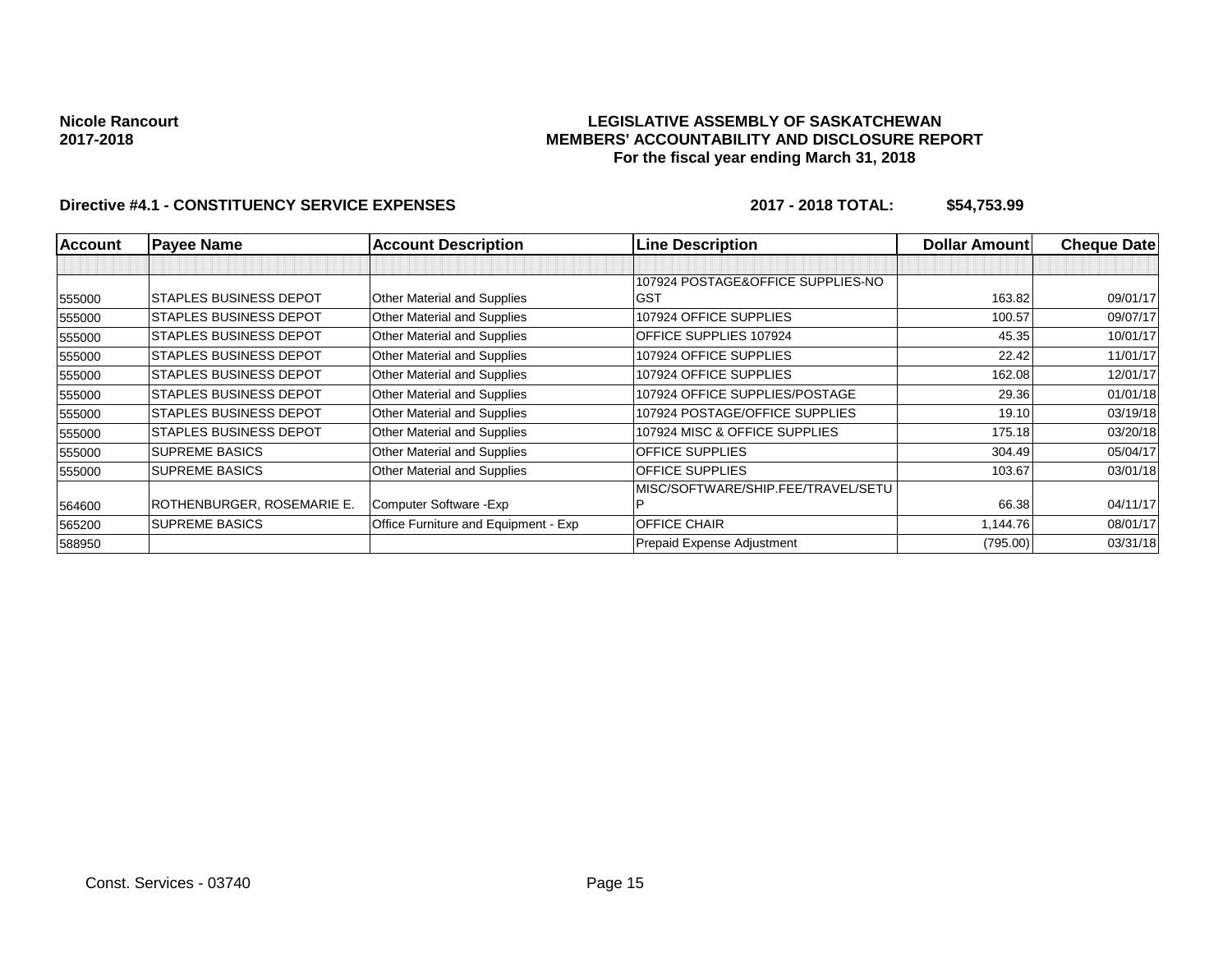### **LEGISLATIVE ASSEMBLY OF SASKATCHEWAN MEMBERS' ACCOUNTABILITY AND DISCLOSURE REPORT For the fiscal year ending March 31, 2018**

| <b>Account</b> | <b>Payee Name</b>             | <b>Account Description</b>           | <b>Line Description</b>            | <b>Dollar Amount</b> | <b>Cheque Date</b> |
|----------------|-------------------------------|--------------------------------------|------------------------------------|----------------------|--------------------|
|                |                               |                                      |                                    |                      |                    |
|                |                               |                                      | 107924 POSTAGE&OFFICE SUPPLIES-NO  |                      |                    |
| 555000         | <b>STAPLES BUSINESS DEPOT</b> | Other Material and Supplies          | <b>GST</b>                         | 163.82               | 09/01/17           |
| 555000         | <b>STAPLES BUSINESS DEPOT</b> | Other Material and Supplies          | 107924 OFFICE SUPPLIES             | 100.57               | 09/07/17           |
| 555000         | <b>STAPLES BUSINESS DEPOT</b> | Other Material and Supplies          | OFFICE SUPPLIES 107924             | 45.35                | 10/01/17           |
| 555000         | <b>STAPLES BUSINESS DEPOT</b> | Other Material and Supplies          | 107924 OFFICE SUPPLIES             | 22.42                | 11/01/17           |
| 555000         | <b>STAPLES BUSINESS DEPOT</b> | Other Material and Supplies          | 107924 OFFICE SUPPLIES             | 162.08               | 12/01/17           |
| 555000         | <b>STAPLES BUSINESS DEPOT</b> | Other Material and Supplies          | 107924 OFFICE SUPPLIES/POSTAGE     | 29.36                | 01/01/18           |
| 555000         | <b>STAPLES BUSINESS DEPOT</b> | Other Material and Supplies          | 107924 POSTAGE/OFFICE SUPPLIES     | 19.10                | 03/19/18           |
| 555000         | STAPLES BUSINESS DEPOT        | Other Material and Supplies          | 107924 MISC & OFFICE SUPPLIES      | 175.18               | 03/20/18           |
| 555000         | <b>SUPREME BASICS</b>         | Other Material and Supplies          | <b>OFFICE SUPPLIES</b>             | 304.49               | 05/04/17           |
| 555000         | <b>SUPREME BASICS</b>         | Other Material and Supplies          | <b>OFFICE SUPPLIES</b>             | 103.67               | 03/01/18           |
|                |                               |                                      | MISC/SOFTWARE/SHIP.FEE/TRAVEL/SETU |                      |                    |
| 564600         | ROTHENBURGER, ROSEMARIE E.    | Computer Software - Exp              |                                    | 66.38                | 04/11/17           |
| 565200         | <b>SUPREME BASICS</b>         | Office Furniture and Equipment - Exp | OFFICE CHAIR                       | 1,144.76             | 08/01/17           |
| 588950         |                               |                                      | Prepaid Expense Adjustment         | (795.00)             | 03/31/18           |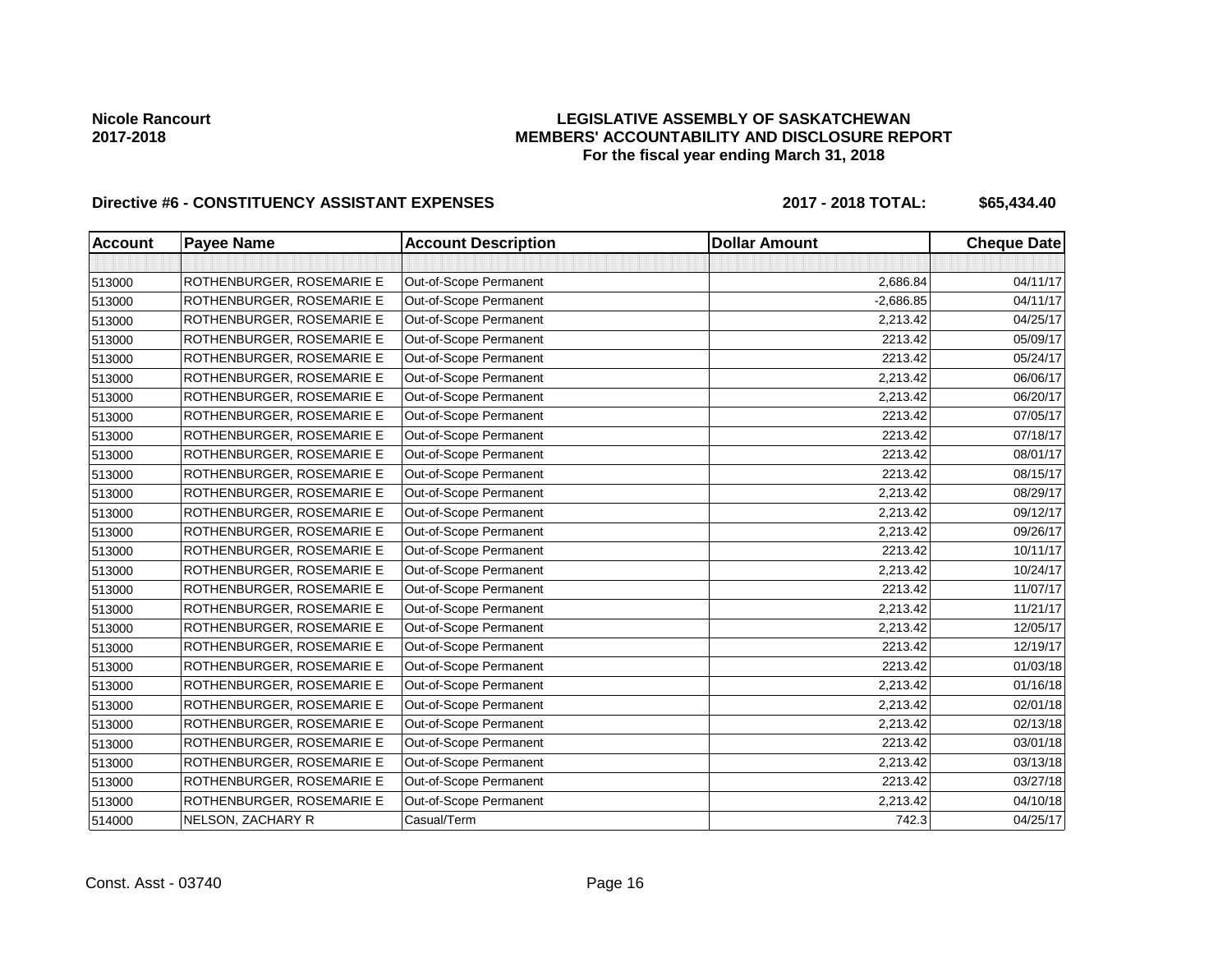## **LEGISLATIVE ASSEMBLY OF SASKATCHEWAN MEMBERS' ACCOUNTABILITY AND DISCLOSURE REPORT For the fiscal year ending March 31, 2018**

# Directive #6 - CONSTITUENCY ASSISTANT EXPENSES 2017 - 2018 TOTAL: \$65,434.40

| <b>Account</b> | <b>Payee Name</b>         | <b>Account Description</b> | <b>Dollar Amount</b> | <b>Cheque Date</b> |
|----------------|---------------------------|----------------------------|----------------------|--------------------|
|                |                           |                            |                      |                    |
| 513000         | ROTHENBURGER, ROSEMARIE E | Out-of-Scope Permanent     | 2,686.84             | 04/11/17           |
| 513000         | ROTHENBURGER, ROSEMARIE E | Out-of-Scope Permanent     | $-2,686.85$          | 04/11/17           |
| 513000         | ROTHENBURGER, ROSEMARIE E | Out-of-Scope Permanent     | 2,213.42             | 04/25/17           |
| 513000         | ROTHENBURGER, ROSEMARIE E | Out-of-Scope Permanent     | 2213.42              | 05/09/17           |
| 513000         | ROTHENBURGER, ROSEMARIE E | Out-of-Scope Permanent     | 2213.42              | 05/24/17           |
| 513000         | ROTHENBURGER, ROSEMARIE E | Out-of-Scope Permanent     | 2,213.42             | 06/06/17           |
| 513000         | ROTHENBURGER, ROSEMARIE E | Out-of-Scope Permanent     | 2,213.42             | 06/20/17           |
| 513000         | ROTHENBURGER, ROSEMARIE E | Out-of-Scope Permanent     | 2213.42              | 07/05/17           |
| 513000         | ROTHENBURGER, ROSEMARIE E | Out-of-Scope Permanent     | 2213.42              | 07/18/17           |
| 513000         | ROTHENBURGER, ROSEMARIE E | Out-of-Scope Permanent     | 2213.42              | 08/01/17           |
| 513000         | ROTHENBURGER, ROSEMARIE E | Out-of-Scope Permanent     | 2213.42              | 08/15/17           |
| 513000         | ROTHENBURGER, ROSEMARIE E | Out-of-Scope Permanent     | 2,213.42             | 08/29/17           |
| 513000         | ROTHENBURGER, ROSEMARIE E | Out-of-Scope Permanent     | 2,213.42             | 09/12/17           |
| 513000         | ROTHENBURGER, ROSEMARIE E | Out-of-Scope Permanent     | 2,213.42             | 09/26/17           |
| 513000         | ROTHENBURGER, ROSEMARIE E | Out-of-Scope Permanent     | 2213.42              | 10/11/17           |
| 513000         | ROTHENBURGER, ROSEMARIE E | Out-of-Scope Permanent     | 2,213.42             | 10/24/17           |
| 513000         | ROTHENBURGER, ROSEMARIE E | Out-of-Scope Permanent     | 2213.42              | 11/07/17           |
| 513000         | ROTHENBURGER, ROSEMARIE E | Out-of-Scope Permanent     | 2,213.42             | 11/21/17           |
| 513000         | ROTHENBURGER, ROSEMARIE E | Out-of-Scope Permanent     | 2,213.42             | 12/05/17           |
| 513000         | ROTHENBURGER, ROSEMARIE E | Out-of-Scope Permanent     | 2213.42              | 12/19/17           |
| 513000         | ROTHENBURGER, ROSEMARIE E | Out-of-Scope Permanent     | 2213.42              | 01/03/18           |
| 513000         | ROTHENBURGER, ROSEMARIE E | Out-of-Scope Permanent     | 2,213.42             | 01/16/18           |
| 513000         | ROTHENBURGER, ROSEMARIE E | Out-of-Scope Permanent     | 2,213.42             | 02/01/18           |
| 513000         | ROTHENBURGER, ROSEMARIE E | Out-of-Scope Permanent     | 2,213.42             | 02/13/18           |
| 513000         | ROTHENBURGER, ROSEMARIE E | Out-of-Scope Permanent     | 2213.42              | 03/01/18           |
| 513000         | ROTHENBURGER, ROSEMARIE E | Out-of-Scope Permanent     | 2,213.42             | 03/13/18           |
| 513000         | ROTHENBURGER, ROSEMARIE E | Out-of-Scope Permanent     | 2213.42              | 03/27/18           |
| 513000         | ROTHENBURGER, ROSEMARIE E | Out-of-Scope Permanent     | 2,213.42             | 04/10/18           |
| 514000         | NELSON, ZACHARY R         | Casual/Term                | 742.3                | 04/25/17           |